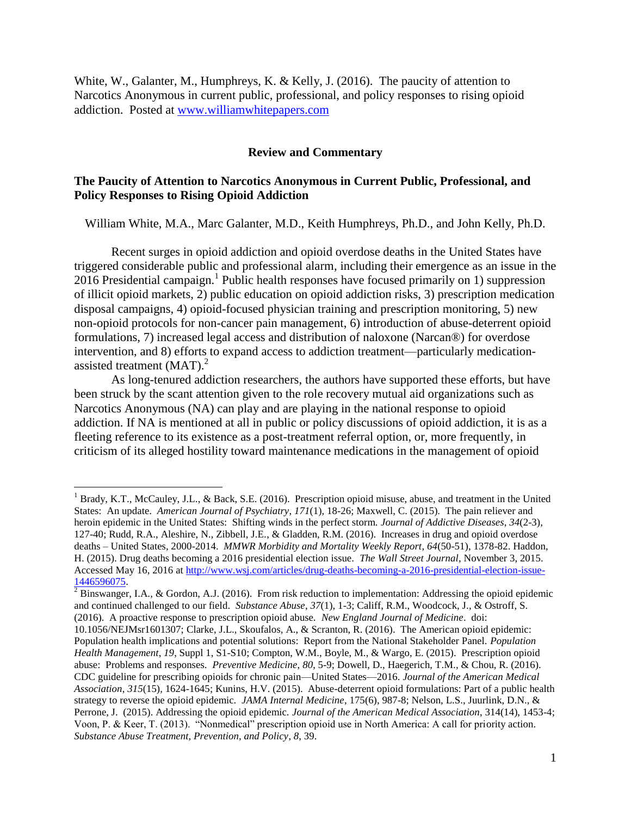White, W., Galanter, M., Humphreys, K. & Kelly, J. (2016). The paucity of attention to Narcotics Anonymous in current public, professional, and policy responses to rising opioid addiction. Posted at [www.williamwhitepapers.com](http://www.williamwhitepapers.com/)

## **Review and Commentary**

## **The Paucity of Attention to Narcotics Anonymous in Current Public, Professional, and Policy Responses to Rising Opioid Addiction**

William White, M.A., Marc Galanter, M.D., Keith Humphreys, Ph.D., and John Kelly, Ph.D.

Recent surges in opioid addiction and opioid overdose deaths in the United States have triggered considerable public and professional alarm, including their emergence as an issue in the 2016 Presidential campaign. 1 Public health responses have focused primarily on 1) suppression of illicit opioid markets, 2) public education on opioid addiction risks, 3) prescription medication disposal campaigns, 4) opioid-focused physician training and prescription monitoring, 5) new non-opioid protocols for non-cancer pain management, 6) introduction of abuse-deterrent opioid formulations, 7) increased legal access and distribution of naloxone (Narcan®) for overdose intervention, and 8) efforts to expand access to addiction treatment—particularly medicationassisted treatment  $(MAT)<sup>2</sup>$ 

As long-tenured addiction researchers, the authors have supported these efforts, but have been struck by the scant attention given to the role recovery mutual aid organizations such as Narcotics Anonymous (NA) can play and are playing in the national response to opioid addiction. If NA is mentioned at all in public or policy discussions of opioid addiction, it is as a fleeting reference to its existence as a post-treatment referral option, or, more frequently, in criticism of its alleged hostility toward maintenance medications in the management of opioid

<sup>&</sup>lt;sup>1</sup> Brady, K.T., McCauley, J.L., & Back, S.E. (2016). Prescription opioid misuse, abuse, and treatment in the United States: An update. *American Journal of Psychiatry*, *171*(1), 18-26; Maxwell, C. (2015). The pain reliever and heroin epidemic in the United States: Shifting winds in the perfect storm. *Journal of Addictive Diseases*, *34*(2-3), 127-40; Rudd, R.A., Aleshire, N., Zibbell, J.E., & Gladden, R.M. (2016). Increases in drug and opioid overdose deaths – United States, 2000-2014. *MMWR Morbidity and Mortality Weekly Report*, *64*(50-51), 1378-82. Haddon, H. (2015). Drug deaths becoming a 2016 presidential election issue. *The Wall Street Journal*, November 3, 2015. Accessed May 16, 2016 at [http://www.wsj.com/articles/drug-deaths-becoming-a-2016-presidential-election-issue-](http://www.wsj.com/articles/drug-deaths-becoming-a-2016-presidential-election-issue-1446596075)[1446596075.](http://www.wsj.com/articles/drug-deaths-becoming-a-2016-presidential-election-issue-1446596075)

<sup>2</sup> Binswanger, I.A., & Gordon, A.J. (2016). From risk reduction to implementation: Addressing the opioid epidemic and continued challenged to our field. *Substance Abuse*, *37*(1), 1-3; Califf, R.M., Woodcock, J., & Ostroff, S. (2016). A proactive response to prescription opioid abuse. *New England Journal of Medicine*. doi:

<sup>10.1056/</sup>NEJMsr1601307; Clarke, J.L., Skoufalos, A., & Scranton, R. (2016). The American opioid epidemic: Population health implications and potential solutions: Report from the National Stakeholder Panel. *Population Health Management*, *19*, Suppl 1, S1-S10; Compton, W.M., Boyle, M., & Wargo, E. (2015). Prescription opioid abuse: Problems and responses. *Preventive Medicine*, *80*, 5-9; Dowell, D., Haegerich, T.M., & Chou, R. (2016). CDC guideline for prescribing opioids for chronic pain—United States—2016. *Journal of the American Medical Association*, *315*(15), 1624-1645; Kunins, H.V. (2015). Abuse-deterrent opioid formulations: Part of a public health strategy to reverse the opioid epidemic. *JAMA Internal Medicine*, 175(6), 987-8; Nelson, L.S., Juurlink, D.N., & Perrone, J. (2015). Addressing the opioid epidemic. *Journal of the American Medical Association*, 314(14), 1453-4; Voon, P. & Keer, T. (2013). "Nonmedical" prescription opioid use in North America: A call for priority action. *Substance Abuse Treatment, Prevention, and Policy*, *8*, 39.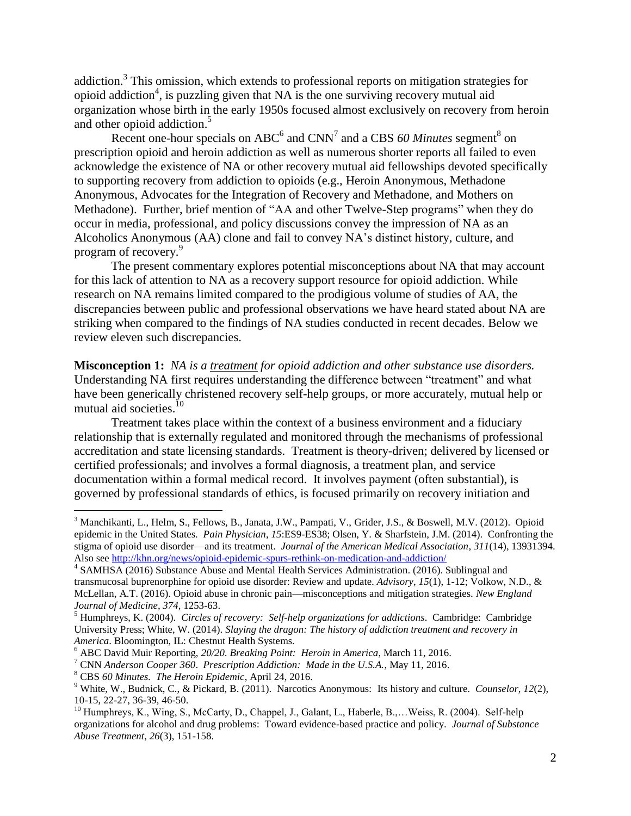addiction.<sup>3</sup> This omission, which extends to professional reports on mitigation strategies for opioid addiction<sup>4</sup>, is puzzling given that NA is the one surviving recovery mutual aid organization whose birth in the early 1950s focused almost exclusively on recovery from heroin and other opioid addiction. 5

Recent one-hour specials on  $ABC^6$  and  $CNN^7$  and a CBS 60 Minutes segment<sup>8</sup> on prescription opioid and heroin addiction as well as numerous shorter reports all failed to even acknowledge the existence of NA or other recovery mutual aid fellowships devoted specifically to supporting recovery from addiction to opioids (e.g., Heroin Anonymous, Methadone Anonymous, Advocates for the Integration of Recovery and Methadone, and Mothers on Methadone). Further, brief mention of "AA and other Twelve-Step programs" when they do occur in media, professional, and policy discussions convey the impression of NA as an Alcoholics Anonymous (AA) clone and fail to convey NA's distinct history, culture, and program of recovery.<sup>9</sup>

The present commentary explores potential misconceptions about NA that may account for this lack of attention to NA as a recovery support resource for opioid addiction. While research on NA remains limited compared to the prodigious volume of studies of AA, the discrepancies between public and professional observations we have heard stated about NA are striking when compared to the findings of NA studies conducted in recent decades. Below we review eleven such discrepancies.

**Misconception 1:** *NA is a treatment for opioid addiction and other substance use disorders.* Understanding NA first requires understanding the difference between "treatment" and what have been generically christened recovery self-help groups, or more accurately, mutual help or mutual aid societies.<sup>10</sup>

Treatment takes place within the context of a business environment and a fiduciary relationship that is externally regulated and monitored through the mechanisms of professional accreditation and state licensing standards. Treatment is theory-driven; delivered by licensed or certified professionals; and involves a formal diagnosis, a treatment plan, and service documentation within a formal medical record. It involves payment (often substantial), is governed by professional standards of ethics, is focused primarily on recovery initiation and

<sup>3</sup> Manchikanti, L., Helm, S., Fellows, B., Janata, J.W., Pampati, V., Grider, J.S., & Boswell, M.V. (2012). Opioid epidemic in the United States. *Pain Physician*, *15*:ES9-ES38; Olsen, Y. & Sharfstein, J.M. (2014). Confronting the stigma of opioid use disorder—and its treatment. *Journal of the American Medical Association*, *311*(14), 13931394. Also se[e http://khn.org/news/opioid-epidemic-spurs-rethink-on-medication-and-addiction/](http://khn.org/news/opioid-epidemic-spurs-rethink-on-medication-and-addiction/)

<sup>&</sup>lt;sup>4</sup> SAMHSA (2016) Substance Abuse and Mental Health Services Administration. (2016). Sublingual and transmucosal buprenorphine for opioid use disorder: Review and update. *Advisory*, *15*(1), 1-12; Volkow, N.D., & McLellan, A.T. (2016). Opioid abuse in chronic pain—misconceptions and mitigation strategies. *New England Journal of Medicine, 374*, 1253-63.

<sup>5</sup> Humphreys, K. (2004). *Circles of recovery: Self-help organizations for addictions*. Cambridge: Cambridge University Press; White, W. (2014). *Slaying the dragon: The history of addiction treatment and recovery in America*. Bloomington, IL: Chestnut Health Systems.

<sup>6</sup> ABC David Muir Reporting, *20/20. Breaking Point: Heroin in America*, March 11, 2016.

<sup>7</sup> CNN *Anderson Cooper 360*. *Prescription Addiction: Made in the U.S.A.*, May 11, 2016.

<sup>8</sup> CBS *60 Minutes. The Heroin Epidemic*, April 24, 2016.

<sup>9</sup> White, W., Budnick, C., & Pickard, B. (2011). Narcotics Anonymous: Its history and culture. *Counselor*, *12*(2), 10-15, 22-27, 36-39, 46-50.

<sup>&</sup>lt;sup>10</sup> Humphreys, K., Wing, S., McCarty, D., Chappel, J., Galant, L., Haberle, B.,... Weiss, R. (2004). Self-help organizations for alcohol and drug problems: Toward evidence-based practice and policy. *Journal of Substance Abuse Treatment*, *26*(3), 151-158.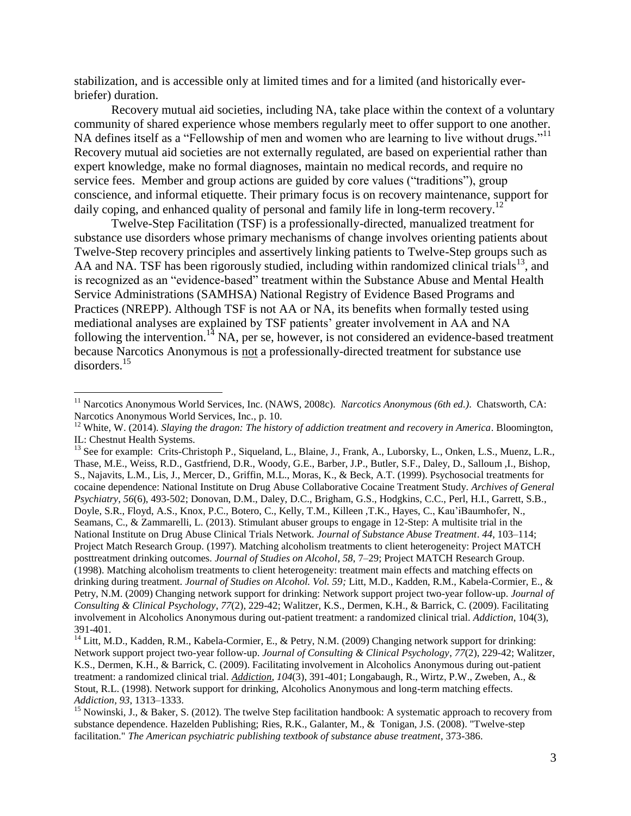stabilization, and is accessible only at limited times and for a limited (and historically everbriefer) duration.

Recovery mutual aid societies, including NA, take place within the context of a voluntary community of shared experience whose members regularly meet to offer support to one another. NA defines itself as a "Fellowship of men and women who are learning to live without drugs."<sup>11</sup> Recovery mutual aid societies are not externally regulated, are based on experiential rather than expert knowledge, make no formal diagnoses, maintain no medical records, and require no service fees. Member and group actions are guided by core values ("traditions"), group conscience, and informal etiquette. Their primary focus is on recovery maintenance, support for daily coping, and enhanced quality of personal and family life in long-term recovery.<sup>12</sup>

Twelve-Step Facilitation (TSF) is a professionally-directed, manualized treatment for substance use disorders whose primary mechanisms of change involves orienting patients about Twelve-Step recovery principles and assertively linking patients to Twelve-Step groups such as AA and NA. TSF has been rigorously studied, including within randomized clinical trials<sup>13</sup>, and is recognized as an "evidence-based" treatment within the Substance Abuse and Mental Health Service Administrations (SAMHSA) National Registry of Evidence Based Programs and Practices (NREPP). Although TSF is not AA or NA, its benefits when formally tested using mediational analyses are explained by TSF patients' greater involvement in AA and NA following the intervention.<sup>14</sup> NA, per se, however, is not considered an evidence-based treatment because Narcotics Anonymous is not a professionally-directed treatment for substance use disorders.<sup>15</sup>

<sup>11</sup> Narcotics Anonymous World Services, Inc. (NAWS, 2008c). *Narcotics Anonymous (6th ed.)*. Chatsworth, CA: Narcotics Anonymous World Services, Inc., p. 10.

<sup>&</sup>lt;sup>12</sup> White, W. (2014). *Slaying the dragon: The history of addiction treatment and recovery in America*. Bloomington, IL: Chestnut Health Systems.

<sup>&</sup>lt;sup>13</sup> See for example: Crits-Christoph P., Siqueland, L., Blaine, J., Frank, A., Luborsky, L., Onken, L.S., Muenz, L.R., Thase, M.E., Weiss, R.D., Gastfriend, D.R., Woody, G.E., Barber, J.P., Butler, S.F., Daley, D., Salloum ,I., Bishop, S., Najavits, L.M., Lis, J., Mercer, D., Griffin, M.L., Moras, K., & Beck, A.T. (1999). Psychosocial treatments for cocaine dependence: National Institute on Drug Abuse Collaborative Cocaine Treatment Study. *Archives of General Psychiatry*, *56*(6), 493-502; Donovan, D.M., Daley, D.C., Brigham, G.S., Hodgkins, C.C., Perl, H.I., Garrett, S.B., Doyle, S.R., Floyd, A.S., Knox, P.C., Botero, C., Kelly, T.M., Killeen ,T.K., Hayes, C., Kau'iBaumhofer, N., Seamans, C., & Zammarelli, L. (2013). Stimulant abuser groups to engage in 12-Step: A multisite trial in the National Institute on Drug Abuse Clinical Trials Network. *Journal of Substance Abuse Treatment*. *44*, 103–114; Project Match Research Group. (1997). Matching alcoholism treatments to client heterogeneity: Project MATCH posttreatment drinking outcomes*. Journal of Studies on Alcohol, 58*, 7–29; Project MATCH Research Group. (1998). Matching alcoholism treatments to client heterogeneity: treatment main effects and matching effects on drinking during treatment. *Journal of Studies on Alcohol. Vol. 59;* Litt, M.D., Kadden, R.M., Kabela-Cormier, E., & Petry, N.M. (2009) Changing network support for drinking: Network support project two-year follow-up. *Journal of Consulting & Clinical Psychology*, *77*(2), 229-42; Walitzer, K.S., Dermen, K.H., & Barrick, C. (2009). Facilitating involvement in Alcoholics Anonymous during out-patient treatment: a randomized clinical trial. *Addiction*, 104(3), 391-401.

<sup>&</sup>lt;sup>14</sup> Litt, M.D., Kadden, R.M., Kabela-Cormier, E., & Petry, N.M. (2009) Changing network support for drinking: Network support project two-year follow-up. *Journal of Consulting & Clinical Psychology*, *77*(2), 229-42; Walitzer, K.S., Dermen, K.H., & Barrick, C. (2009). Facilitating involvement in Alcoholics Anonymous during out-patient treatment: a randomized clinical trial. *Addiction*, *104*(3), 391-401; Longabaugh, R., Wirtz, P.W., Zweben, A., & Stout, R.L. (1998). Network support for drinking, Alcoholics Anonymous and long-term matching effects. *Addiction, 93*, 1313–1333.

<sup>&</sup>lt;sup>15</sup> Nowinski, J., & Baker, S. (2012). The twelve Step facilitation handbook: A systematic approach to recovery from substance dependence. Hazelden Publishing; Ries, R.K., Galanter, M., & Tonigan, J.S. (2008). "Twelve-step facilitation." *The American psychiatric publishing textbook of substance abuse treatment*, 373-386.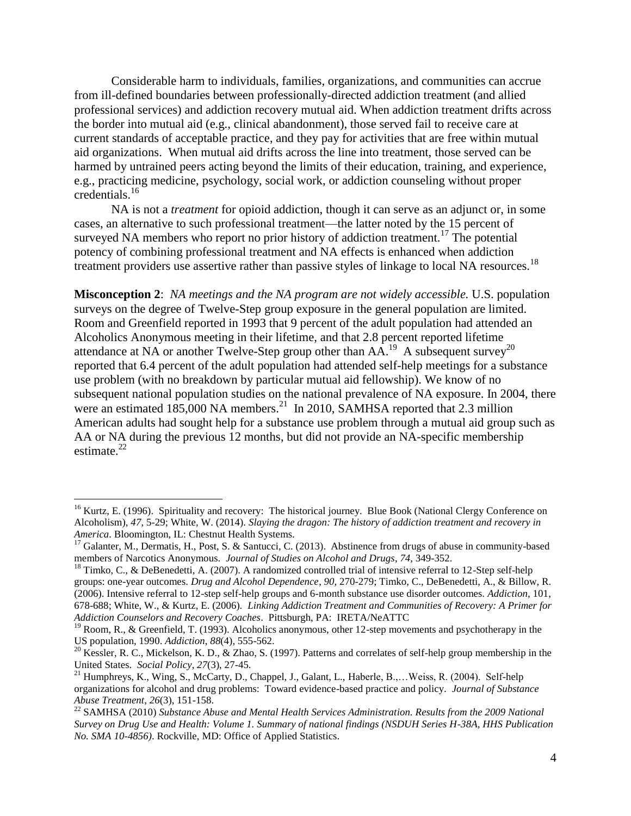Considerable harm to individuals, families, organizations, and communities can accrue from ill-defined boundaries between professionally-directed addiction treatment (and allied professional services) and addiction recovery mutual aid. When addiction treatment drifts across the border into mutual aid (e.g., clinical abandonment), those served fail to receive care at current standards of acceptable practice, and they pay for activities that are free within mutual aid organizations. When mutual aid drifts across the line into treatment, those served can be harmed by untrained peers acting beyond the limits of their education, training, and experience, e.g., practicing medicine, psychology, social work, or addiction counseling without proper credentials. 16

NA is not a *treatment* for opioid addiction, though it can serve as an adjunct or, in some cases, an alternative to such professional treatment—the latter noted by the 15 percent of surveyed NA members who report no prior history of addiction treatment.<sup>17</sup> The potential potency of combining professional treatment and NA effects is enhanced when addiction treatment providers use assertive rather than passive styles of linkage to local NA resources.<sup>18</sup>

**Misconception 2**: *NA meetings and the NA program are not widely accessible.* U.S. population surveys on the degree of Twelve-Step group exposure in the general population are limited. Room and Greenfield reported in 1993 that 9 percent of the adult population had attended an Alcoholics Anonymous meeting in their lifetime, and that 2.8 percent reported lifetime attendance at NA or another Twelve-Step group other than  $AA$ <sup>19</sup>. A subsequent survey<sup>20</sup> reported that 6.4 percent of the adult population had attended self-help meetings for a substance use problem (with no breakdown by particular mutual aid fellowship). We know of no subsequent national population studies on the national prevalence of NA exposure. In 2004, there were an estimated  $185,000$  NA members.<sup>21</sup> In 2010, SAMHSA reported that 2.3 million American adults had sought help for a substance use problem through a mutual aid group such as AA or NA during the previous 12 months, but did not provide an NA-specific membership estimate. $22$ 

 $16$  Kurtz, E. (1996). Spirituality and recovery: The historical journey. Blue Book (National Clergy Conference on Alcoholism), *47*, 5-29; White, W. (2014). *Slaying the dragon: The history of addiction treatment and recovery in America*. Bloomington, IL: Chestnut Health Systems.

<sup>&</sup>lt;sup>17</sup> Galanter, M., Dermatis, H., Post, S. & Santucci, C. (2013). Abstinence from drugs of abuse in community-based members of Narcotics Anonymous. *Journal of Studies on Alcohol and Drugs*, *74*, 349-352.

 $18$  Timko, C., & DeBenedetti, A. (2007). A randomized controlled trial of intensive referral to 12-Step self-help groups: one-year outcomes. *Drug and Alcohol Dependence*, *90*, 270-279; Timko, C., DeBenedetti, A., & Billow, R. (2006). Intensive referral to 12-step self-help groups and 6-month substance use disorder outcomes. *Addiction*, 101, 678-688; White, W., & Kurtz, E. (2006). *Linking Addiction Treatment and Communities of Recovery: A Primer for Addiction Counselors and Recovery Coaches*. Pittsburgh, PA: IRETA/NeATTC

<sup>&</sup>lt;sup>19</sup> Room, R., & Greenfield, T. (1993). Alcoholics anonymous, other 12-step movements and psychotherapy in the US population, 1990. *Addiction*, *88*(4), 555-562.

<sup>&</sup>lt;sup>20</sup> Kessler, R. C., Mickelson, K. D., & Zhao, S. (1997). Patterns and correlates of self-help group membership in the United States. *Social Policy*, *27*(3), 27-45.

<sup>&</sup>lt;sup>21</sup> Humphreys, K., Wing, S., McCarty, D., Chappel, J., Galant, L., Haberle, B.,... Weiss, R. (2004). Self-help organizations for alcohol and drug problems: Toward evidence-based practice and policy. *Journal of Substance Abuse Treatment*, *26*(3), 151-158.

<sup>&</sup>lt;sup>22</sup> SAMHSA (2010) *Substance Abuse and Mental Health Services Administration. Results from the 2009 National Survey on Drug Use and Health: Volume 1. Summary of national findings (NSDUH Series H-38A, HHS Publication No. SMA 10-4856)*. Rockville, MD: Office of Applied Statistics.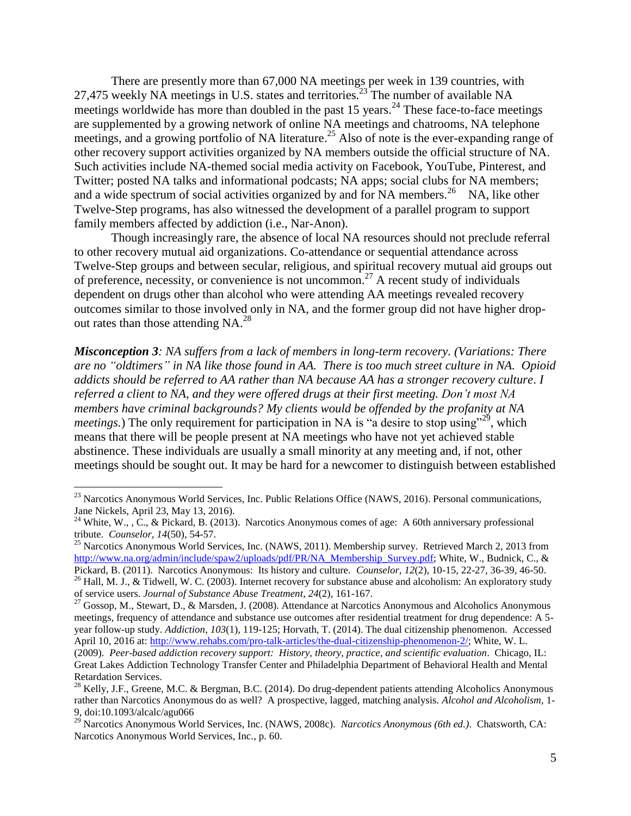There are presently more than 67,000 NA meetings per week in 139 countries, with 27,475 weekly NA meetings in U.S. states and territories.<sup>23</sup> The number of available NA meetings worldwide has more than doubled in the past  $15$  years.<sup>24</sup> These face-to-face meetings are supplemented by a growing network of online NA meetings and chatrooms, NA telephone meetings, and a growing portfolio of NA literature.<sup>25</sup> Also of note is the ever-expanding range of other recovery support activities organized by NA members outside the official structure of NA. Such activities include NA-themed social media activity on Facebook, YouTube, Pinterest, and Twitter; posted NA talks and informational podcasts; NA apps; social clubs for NA members; and a wide spectrum of social activities organized by and for NA members.<sup>26</sup> NA, like other Twelve-Step programs, has also witnessed the development of a parallel program to support family members affected by addiction (i.e., Nar-Anon).

Though increasingly rare, the absence of local NA resources should not preclude referral to other recovery mutual aid organizations. Co-attendance or sequential attendance across Twelve-Step groups and between secular, religious, and spiritual recovery mutual aid groups out of preference, necessity, or convenience is not uncommon. <sup>27</sup> A recent study of individuals dependent on drugs other than alcohol who were attending AA meetings revealed recovery outcomes similar to those involved only in NA, and the former group did not have higher dropout rates than those attending  $NA.^{28}$ 

*Misconception 3: NA suffers from a lack of members in long-term recovery. (Variations: There are no "oldtimers" in NA like those found in AA. There is too much street culture in NA. Opioid addicts should be referred to AA rather than NA because AA has a stronger recovery culture*. *I referred a client to NA, and they were offered drugs at their first meeting. Don't most NA members have criminal backgrounds? My clients would be offended by the profanity at NA meetings.*) The only requirement for participation in NA is "a desire to stop using"<sup>29</sup>, which means that there will be people present at NA meetings who have not yet achieved stable abstinence. These individuals are usually a small minority at any meeting and, if not, other meetings should be sought out. It may be hard for a newcomer to distinguish between established

<sup>&</sup>lt;sup>23</sup> Narcotics Anonymous World Services, Inc. Public Relations Office (NAWS, 2016). Personal communications, Jane Nickels, April 23, May 13, 2016).

<sup>&</sup>lt;sup>24</sup> White, W., , C., & Pickard, B. (2013). Narcotics Anonymous comes of age: A 60th anniversary professional tribute. *Counselor*, *14*(50), 54-57.

<sup>&</sup>lt;sup>25</sup> Narcotics Anonymous World Services, Inc. (NAWS, 2011). Membership survey. Retrieved March 2, 2013 from [http://www.na.org/admin/include/spaw2/uploads/pdf/PR/NA\\_Membership\\_Survey.pdf;](http://www.na.org/admin/include/spaw2/uploads/pdf/PR/NA_Membership_Survey.pdf) White, W., Budnick, C., & Pickard, B. (2011). Narcotics Anonymous: Its history and culture. *Counselor*, *12*(2), 10-15, 22-27, 36-39, 46-50.

<sup>&</sup>lt;sup>26</sup> Hall, M. J., & Tidwell, W. C. (2003). Internet recovery for substance abuse and alcoholism: An exploratory study of service users. *Journal of Substance Abuse Treatment*, *24*(2), 161-167.

<sup>&</sup>lt;sup>27</sup> Gossop, M., Stewart, D., & Marsden, J. (2008). Attendance at Narcotics Anonymous and Alcoholics Anonymous meetings, frequency of attendance and substance use outcomes after residential treatment for drug dependence: A 5 year follow-up study. *Addiction*, *103*(1), 119-125; Horvath, T. (2014). The dual citizenship phenomenon. Accessed April 10, 2016 at[: http://www.rehabs.com/pro-talk-articles/the-dual-citizenship-phenomenon-2/;](http://www.rehabs.com/pro-talk-articles/the-dual-citizenship-phenomenon-2/) White, W. L. (2009). *Peer-based addiction recovery support: History, theory, practice, and scientific evaluation*. Chicago, IL: Great Lakes Addiction Technology Transfer Center and Philadelphia Department of Behavioral Health and Mental Retardation Services.

<sup>&</sup>lt;sup>28</sup> Kelly, J.F., Greene, M.C. & Bergman, B.C. (2014). Do drug-dependent patients attending Alcoholics Anonymous rather than Narcotics Anonymous do as well? A prospective, lagged, matching analysis. *Alcohol and Alcoholism*, 1- 9, doi:10.1093/alcalc/agu066

<sup>29</sup> Narcotics Anonymous World Services, Inc. (NAWS, 2008c). *Narcotics Anonymous (6th ed.)*. Chatsworth, CA: Narcotics Anonymous World Services, Inc., p. 60.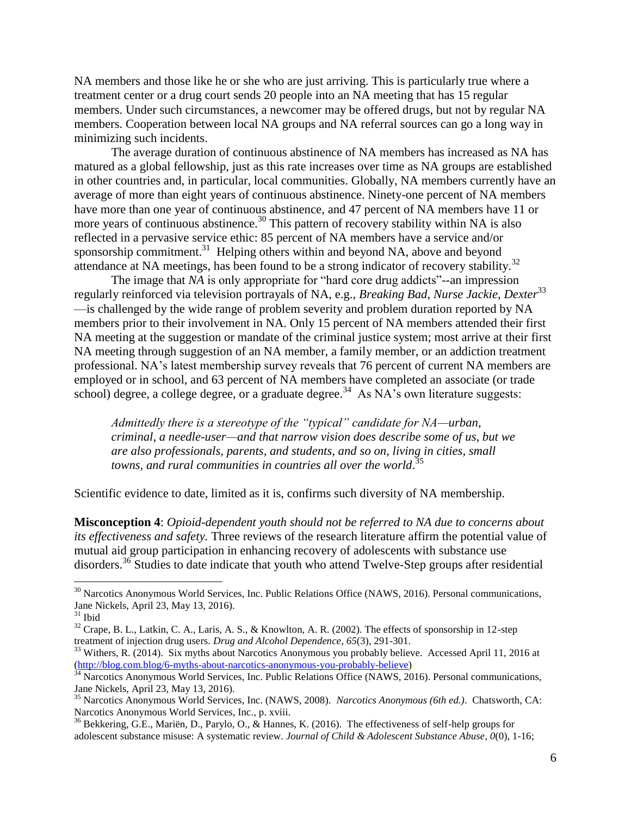NA members and those like he or she who are just arriving. This is particularly true where a treatment center or a drug court sends 20 people into an NA meeting that has 15 regular members. Under such circumstances, a newcomer may be offered drugs, but not by regular NA members. Cooperation between local NA groups and NA referral sources can go a long way in minimizing such incidents.

The average duration of continuous abstinence of NA members has increased as NA has matured as a global fellowship, just as this rate increases over time as NA groups are established in other countries and, in particular, local communities. Globally, NA members currently have an average of more than eight years of continuous abstinence. Ninety-one percent of NA members have more than one year of continuous abstinence, and 47 percent of NA members have 11 or more years of continuous abstinence.<sup>30</sup> This pattern of recovery stability within NA is also reflected in a pervasive service ethic: 85 percent of NA members have a service and/or sponsorship commitment.<sup>31</sup> Helping others within and beyond NA, above and beyond attendance at NA meetings, has been found to be a strong indicator of recovery stability.<sup>32</sup>

The image that *NA* is only appropriate for "hard core drug addicts"--an impression regularly reinforced via television portrayals of NA, e.g., *Breaking Bad*, *Nurse Jackie*, *Dexter*<sup>33</sup> —is challenged by the wide range of problem severity and problem duration reported by NA members prior to their involvement in NA. Only 15 percent of NA members attended their first NA meeting at the suggestion or mandate of the criminal justice system; most arrive at their first NA meeting through suggestion of an NA member, a family member, or an addiction treatment professional. NA's latest membership survey reveals that 76 percent of current NA members are employed or in school, and 63 percent of NA members have completed an associate (or trade school) degree, a college degree, or a graduate degree.<sup>34</sup> As NA's own literature suggests:

*Admittedly there is a stereotype of the "typical" candidate for NA—urban, criminal, a needle-user—and that narrow vision does describe some of us, but we are also professionals, parents, and students, and so on, living in cities, small towns, and rural communities in countries all over the world*. 35

Scientific evidence to date, limited as it is, confirms such diversity of NA membership.

**Misconception 4**: *Opioid-dependent youth should not be referred to NA due to concerns about its effectiveness and safety.* Three reviews of the research literature affirm the potential value of mutual aid group participation in enhancing recovery of adolescents with substance use disorders.<sup>36</sup> Studies to date indicate that youth who attend Twelve-Step groups after residential

<sup>&</sup>lt;sup>30</sup> Narcotics Anonymous World Services, Inc. Public Relations Office (NAWS, 2016). Personal communications, Jane Nickels, April 23, May 13, 2016).

 $31$  Ibid

<sup>&</sup>lt;sup>32</sup> Crape, B. L., Latkin, C. A., Laris, A. S., & Knowlton, A. R. (2002). The effects of sponsorship in 12-step treatment of injection drug users. *Drug and Alcohol Dependence*, *65*(3), 291-301.

<sup>&</sup>lt;sup>33</sup> Withers, R. (2014). Six myths about Narcotics Anonymous you probably believe. Accessed April 11, 2016 at [\(http://blog.com.blog/6-myths-about-narcotics-anonymous-you-probably-believe\)](http://blog.com.blog/6-myths-about-narcotics-anonymous-you-probably-believe)

<sup>&</sup>lt;sup>34</sup> Narcotics Anonymous World Services, Inc. Public Relations Office (NAWS, 2016). Personal communications, Jane Nickels, April 23, May 13, 2016).

<sup>35</sup> Narcotics Anonymous World Services, Inc. (NAWS, 2008). *Narcotics Anonymous (6th ed.)*. Chatsworth, CA: Narcotics Anonymous World Services, Inc., p. xviii.

<sup>36</sup> Bekkering, G.E., Mariën, D., Parylo, O., & Hannes, K. (2016). The effectiveness of self-help groups for adolescent substance misuse: A systematic review. *Journal of Child & Adolescent Substance Abuse*, *0*(0), 1-16;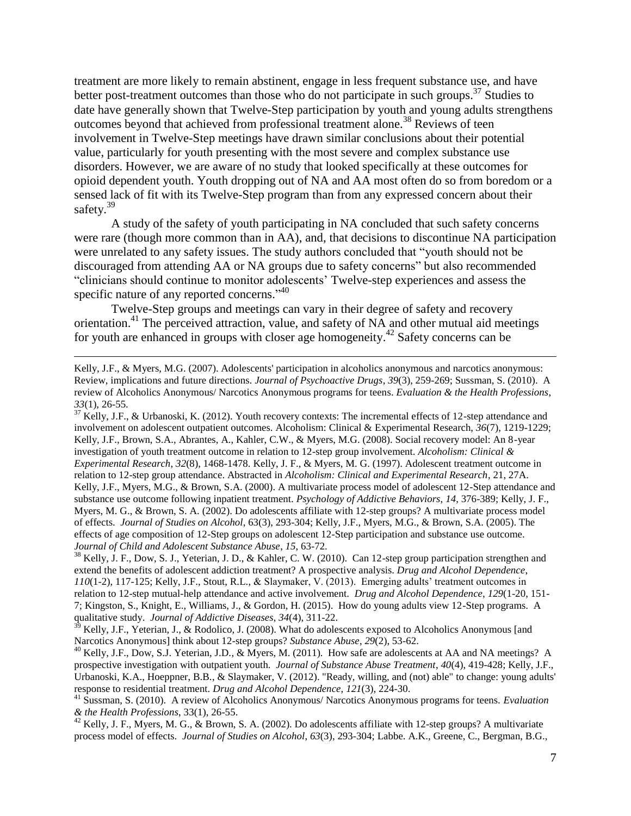treatment are more likely to remain abstinent, engage in less frequent substance use, and have better post-treatment outcomes than those who do not participate in such groups.<sup>37</sup> Studies to date have generally shown that Twelve-Step participation by youth and young adults strengthens outcomes beyond that achieved from professional treatment alone. <sup>38</sup> Reviews of teen involvement in Twelve-Step meetings have drawn similar conclusions about their potential value, particularly for youth presenting with the most severe and complex substance use disorders. However, we are aware of no study that looked specifically at these outcomes for opioid dependent youth. Youth dropping out of NA and AA most often do so from boredom or a sensed lack of fit with its Twelve-Step program than from any expressed concern about their safety.<sup>39</sup>

A study of the safety of youth participating in NA concluded that such safety concerns were rare (though more common than in AA), and, that decisions to discontinue NA participation were unrelated to any safety issues. The study authors concluded that "youth should not be discouraged from attending AA or NA groups due to safety concerns" but also recommended "clinicians should continue to monitor adolescents' Twelve-step experiences and assess the specific nature of any reported concerns."<sup>40</sup>

Twelve-Step groups and meetings can vary in their degree of safety and recovery orientation.<sup>41</sup> The perceived attraction, value, and safety of NA and other mutual aid meetings for youth are enhanced in groups with closer age homogeneity.<sup>42</sup> Safety concerns can be

 $\overline{a}$ 

 $37$  Kelly, J.F., & Urbanoski, K. (2012). Youth recovery contexts: The incremental effects of 12-step attendance and involvement on adolescent outpatient outcomes. Alcoholism: Clinical & Experimental Research, *36*(7), 1219-1229; Kelly, J.F., Brown, S.A., Abrantes, A., Kahler, C.W., & Myers, M.G. (2008). Social recovery model: An 8-year investigation of youth treatment outcome in relation to 12-step group involvement. *Alcoholism: Clinical & Experimental Research*, *32*(8), 1468-1478. Kelly, J. F., & Myers, M. G. (1997). Adolescent treatment outcome in relation to 12-step group attendance. Abstracted in *Alcoholism: Clinical and Experimental Research*, 21, 27A. Kelly, J.F., Myers, M.G., & Brown, S.A. (2000). A multivariate process model of adolescent 12-Step attendance and substance use outcome following inpatient treatment. *Psychology of Addictive Behaviors*, *14*, 376-389; Kelly, J. F., Myers, M. G., & Brown, S. A. (2002). Do adolescents affiliate with 12-step groups? A multivariate process model of effects. *Journal of Studies on Alcohol*, 63(3), 293-304; Kelly, J.F., Myers, M.G., & Brown, S.A. (2005). The effects of age composition of 12-Step groups on adolescent 12-Step participation and substance use outcome. *Journal of Child and Adolescent Substance Abuse*, *15*, 63-72.

<sup>38</sup> Kelly, J. F., Dow, S. J., Yeterian, J. D., & Kahler, C. W. (2010). Can 12-step group participation strengthen and extend the benefits of adolescent addiction treatment? A prospective analysis. *Drug and Alcohol Dependence*, *110*(1-2), 117-125; Kelly, J.F., Stout, R.L., & Slaymaker, V. (2013). Emerging adults' treatment outcomes in relation to 12-step mutual-help attendance and active involvement. *Drug and Alcohol Dependence*, *129*(1-20, 151- 7; Kingston, S., Knight, E., Williams, J., & Gordon, H. (2015). How do young adults view 12-Step programs. A qualitative study. *Journal of Addictive Diseases*, *34*(4), 311-22.

 $3<sup>39</sup>$  Kelly, J.F., Yeterian, J., & Rodolico, J. (2008). What do adolescents exposed to Alcoholics Anonymous [and Narcotics Anonymous] think about 12-step groups? *Substance Abuse*, *29*(2), 53-62.

<sup>40</sup> Kelly, J.F., Dow, S.J. Yeterian, J.D., & Myers, M. (2011). How safe are adolescents at AA and NA meetings? A prospective investigation with outpatient youth. *Journal of Substance Abuse Treatment*, *40*(4), 419-428; Kelly, J.F., Urbanoski, K.A., Hoeppner, B.B., & Slaymaker, V. (2012). "Ready, willing, and (not) able" to change: young adults' response to residential treatment. *Drug and Alcohol Dependence*, *121*(3), 224-30.

 $^{42}$  Kelly, J. F., Myers, M. G., & Brown, S. A. (2002). Do adolescents affiliate with 12-step groups? A multivariate process model of effects. *Journal of Studies on Alcohol*, *63*(3), 293-304; Labbe. A.K., Greene, C., Bergman, B.G.,

Kelly, J.F., & Myers, M.G. (2007). Adolescents' participation in alcoholics anonymous and narcotics anonymous: Review, implications and future directions. *Journal of Psychoactive Drugs*, *39*(3), 259-269; Sussman, S. (2010). A review of Alcoholics Anonymous/ Narcotics Anonymous programs for teens. *Evaluation & the Health Professions*, *33*(1), 26-55.

<sup>41</sup> Sussman, S. (2010). A review of Alcoholics Anonymous/ Narcotics Anonymous programs for teens. *Evaluation & the Health Professions*, 33(1), 26-55.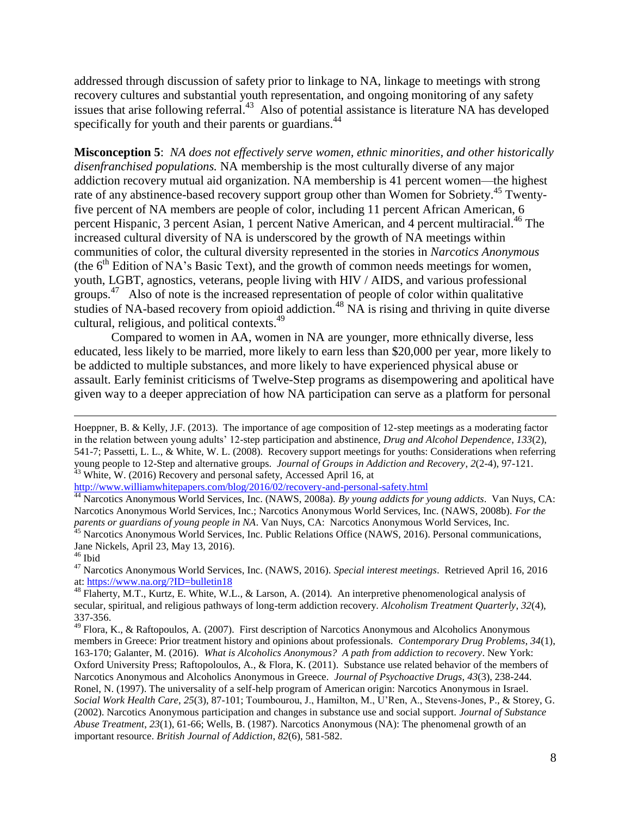addressed through discussion of safety prior to linkage to NA, linkage to meetings with strong recovery cultures and substantial youth representation, and ongoing monitoring of any safety issues that arise following referral.<sup>43</sup> Also of potential assistance is literature NA has developed specifically for youth and their parents or guardians.<sup>44</sup>

**Misconception 5**: *NA does not effectively serve women, ethnic minorities, and other historically disenfranchised populations.* NA membership is the most culturally diverse of any major addiction recovery mutual aid organization. NA membership is 41 percent women—the highest rate of any abstinence-based recovery support group other than Women for Sobriety.<sup>45</sup> Twentyfive percent of NA members are people of color, including 11 percent African American, 6 percent Hispanic, 3 percent Asian, 1 percent Native American, and 4 percent multiracial.<sup>46</sup> The increased cultural diversity of NA is underscored by the growth of NA meetings within communities of color, the cultural diversity represented in the stories in *Narcotics Anonymous* (the 6<sup>th</sup> Edition of NA's Basic Text), and the growth of common needs meetings for women, youth, LGBT, agnostics, veterans, people living with HIV / AIDS, and various professional groups. $47$  Also of note is the increased representation of people of color within qualitative studies of NA-based recovery from opioid addiction.<sup>48</sup> NA is rising and thriving in quite diverse cultural, religious, and political contexts. 49

Compared to women in AA, women in NA are younger, more ethnically diverse, less educated, less likely to be married, more likely to earn less than \$20,000 per year, more likely to be addicted to multiple substances, and more likely to have experienced physical abuse or assault. Early feminist criticisms of Twelve-Step programs as disempowering and apolitical have given way to a deeper appreciation of how NA participation can serve as a platform for personal

<http://www.williamwhitepapers.com/blog/2016/02/recovery-and-personal-safety.html>

<sup>44</sup> Narcotics Anonymous World Services, Inc. (NAWS, 2008a). *By young addicts for young addicts*. Van Nuys, CA: Narcotics Anonymous World Services, Inc.; Narcotics Anonymous World Services, Inc. (NAWS, 2008b). *For the parents or guardians of young people in NA*. Van Nuys, CA: Narcotics Anonymous World Services, Inc.

<sup>45</sup> Narcotics Anonymous World Services, Inc. Public Relations Office (NAWS, 2016). Personal communications, Jane Nickels, April 23, May 13, 2016).

 $\overline{a}$ 

<sup>47</sup> Narcotics Anonymous World Services, Inc. (NAWS, 2016). *Special interest meetings*. Retrieved April 16, 2016 at:<https://www.na.org/?ID=bulletin18>

<sup>48</sup> Flaherty, M.T., Kurtz, E. White, W.L., & Larson, A. (2014). An interpretive phenomenological analysis of secular, spiritual, and religious pathways of long-term addiction recovery. *Alcoholism Treatment Quarterly*, *32*(4), 337-356.

<sup>49</sup> Flora, K., & Raftopoulos, A. (2007). First description of Narcotics Anonymous and Alcoholics Anonymous members in Greece: Prior treatment history and opinions about professionals. *Contemporary Drug Problems*, *34*(1), 163-170; Galanter, M. (2016). *What is Alcoholics Anonymous? A path from addiction to recovery*. New York: Oxford University Press; Raftopoloulos, A., & Flora, K. (2011). Substance use related behavior of the members of Narcotics Anonymous and Alcoholics Anonymous in Greece. *Journal of Psychoactive Drugs*, *43*(3), 238-244. Ronel, N. (1997). The universality of a self-help program of American origin: Narcotics Anonymous in Israel. *Social Work Health Care*, *25*(3), 87-101; Toumbourou, J., Hamilton, M., U'Ren, A., Stevens-Jones, P., & Storey, G. (2002). Narcotics Anonymous participation and changes in substance use and social support. *Journal of Substance Abuse Treatment*, *23*(1), 61-66; Wells, B. (1987). Narcotics Anonymous (NA): The phenomenal growth of an important resource. *British Journal of Addiction*, *82*(6), 581-582.

Hoeppner, B. & Kelly, J.F. (2013). The importance of age composition of 12-step meetings as a moderating factor in the relation between young adults' 12-step participation and abstinence, *Drug and Alcohol Dependence*, *133*(2), 541-7; Passetti, L. L., & White, W. L. (2008). Recovery support meetings for youths: Considerations when referring young people to 12-Step and alternative groups. *Journal of Groups in Addiction and Recovery*, *2*(2-4), 97-121. <sup>43</sup> White, W. (2016) Recovery and personal safety, Accessed April 16, at

 $^{\rm 46}$  Ibid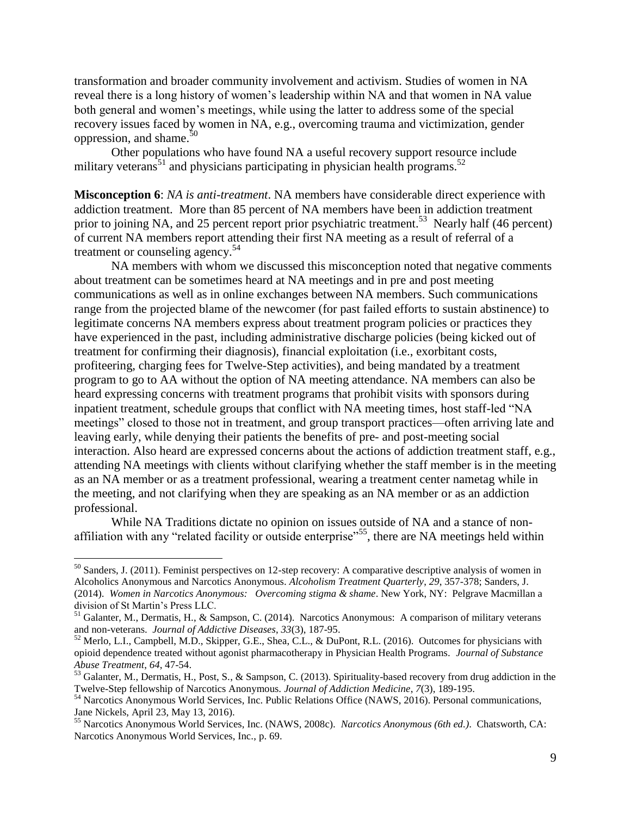transformation and broader community involvement and activism. Studies of women in NA reveal there is a long history of women's leadership within NA and that women in NA value both general and women's meetings, while using the latter to address some of the special recovery issues faced by women in NA, e.g., overcoming trauma and victimization, gender oppression, and shame. $50$ 

Other populations who have found NA a useful recovery support resource include military veterans<sup>51</sup> and physicians participating in physician health programs.<sup>52</sup>

**Misconception 6**: *NA is anti-treatment*. NA members have considerable direct experience with addiction treatment. More than 85 percent of NA members have been in addiction treatment prior to joining NA, and 25 percent report prior psychiatric treatment.<sup>53</sup> Nearly half (46 percent) of current NA members report attending their first NA meeting as a result of referral of a treatment or counseling agency. 54

NA members with whom we discussed this misconception noted that negative comments about treatment can be sometimes heard at NA meetings and in pre and post meeting communications as well as in online exchanges between NA members. Such communications range from the projected blame of the newcomer (for past failed efforts to sustain abstinence) to legitimate concerns NA members express about treatment program policies or practices they have experienced in the past, including administrative discharge policies (being kicked out of treatment for confirming their diagnosis), financial exploitation (i.e., exorbitant costs, profiteering, charging fees for Twelve-Step activities), and being mandated by a treatment program to go to AA without the option of NA meeting attendance. NA members can also be heard expressing concerns with treatment programs that prohibit visits with sponsors during inpatient treatment, schedule groups that conflict with NA meeting times, host staff-led "NA meetings" closed to those not in treatment, and group transport practices—often arriving late and leaving early, while denying their patients the benefits of pre- and post-meeting social interaction. Also heard are expressed concerns about the actions of addiction treatment staff, e.g., attending NA meetings with clients without clarifying whether the staff member is in the meeting as an NA member or as a treatment professional, wearing a treatment center nametag while in the meeting, and not clarifying when they are speaking as an NA member or as an addiction professional.

While NA Traditions dictate no opinion on issues outside of NA and a stance of nonaffiliation with any "related facility or outside enterprise"<sup>55</sup>, there are NA meetings held within

 $50$  Sanders, J. (2011). Feminist perspectives on 12-step recovery: A comparative descriptive analysis of women in Alcoholics Anonymous and Narcotics Anonymous. *Alcoholism Treatment Quarterly*, *29*, 357-378; Sanders, J. (2014). *Women in Narcotics Anonymous: Overcoming stigma & shame*. New York, NY: Pelgrave Macmillan a division of St Martin's Press LLC.

<sup>&</sup>lt;sup>51</sup> Galanter, M., Dermatis, H., & Sampson, C. (2014). Narcotics Anonymous: A comparison of military veterans and non-veterans. *Journal of Addictive Diseases*, *33*(3), 187-95.

<sup>&</sup>lt;sup>52</sup> Merlo, L.I., Campbell, M.D., Skipper, G.E., Shea, C.L., & DuPont, R.L. (2016). Outcomes for physicians with opioid dependence treated without agonist pharmacotherapy in Physician Health Programs. *Journal of Substance Abuse Treatment*, *64*, 47-54.

<sup>&</sup>lt;sup>53</sup> Galanter, M., Dermatis, H., Post, S., & Sampson, C. (2013). Spirituality-based recovery from drug addiction in the Twelve-Step fellowship of Narcotics Anonymous. *Journal of Addiction Medicine*, *7*(3), 189-195.

<sup>54</sup> Narcotics Anonymous World Services, Inc. Public Relations Office (NAWS, 2016). Personal communications, Jane Nickels, April 23, May 13, 2016).

<sup>55</sup> Narcotics Anonymous World Services, Inc. (NAWS, 2008c). *Narcotics Anonymous (6th ed.)*. Chatsworth, CA: Narcotics Anonymous World Services, Inc., p. 69.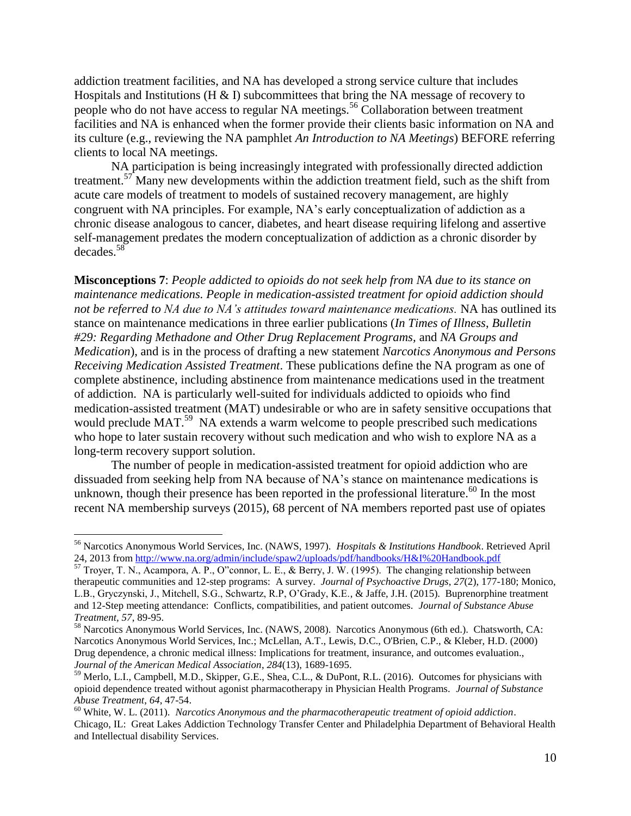addiction treatment facilities, and NA has developed a strong service culture that includes Hospitals and Institutions (H  $\&$  I) subcommittees that bring the NA message of recovery to people who do not have access to regular NA meetings.<sup>56</sup> Collaboration between treatment facilities and NA is enhanced when the former provide their clients basic information on NA and its culture (e.g., reviewing the NA pamphlet *An Introduction to NA Meetings*) BEFORE referring clients to local NA meetings.

NA participation is being increasingly integrated with professionally directed addiction treatment.<sup>57</sup> Many new developments within the addiction treatment field, such as the shift from acute care models of treatment to models of sustained recovery management, are highly congruent with NA principles. For example, NA's early conceptualization of addiction as a chronic disease analogous to cancer, diabetes, and heart disease requiring lifelong and assertive self-management predates the modern conceptualization of addiction as a chronic disorder by decades.<sup>58</sup>

**Misconceptions 7**: *People addicted to opioids do not seek help from NA due to its stance on maintenance medications. People in medication-assisted treatment for opioid addiction should not be referred to NA due to NA's attitudes toward maintenance medications.* NA has outlined its stance on maintenance medications in three earlier publications (*In Times of Illness*, *Bulletin #29: Regarding Methadone and Other Drug Replacement Programs,* and *NA Groups and Medication*), and is in the process of drafting a new statement *Narcotics Anonymous and Persons Receiving Medication Assisted Treatment*. These publications define the NA program as one of complete abstinence, including abstinence from maintenance medications used in the treatment of addiction. NA is particularly well-suited for individuals addicted to opioids who find medication-assisted treatment (MAT) undesirable or who are in safety sensitive occupations that would preclude MAT.<sup>59</sup> NA extends a warm welcome to people prescribed such medications who hope to later sustain recovery without such medication and who wish to explore NA as a long-term recovery support solution.

The number of people in medication-assisted treatment for opioid addiction who are dissuaded from seeking help from NA because of NA's stance on maintenance medications is unknown, though their presence has been reported in the professional literature.<sup>60</sup> In the most recent NA membership surveys (2015), 68 percent of NA members reported past use of opiates

<sup>56</sup> Narcotics Anonymous World Services, Inc. (NAWS, 1997). *Hospitals & Institutions Handbook*. Retrieved April 24, 2013 from<http://www.na.org/admin/include/spaw2/uploads/pdf/handbooks/H&I%20Handbook.pdf>

 $\frac{24}{57}$  Troyer, T. N., Acampora, A. P., O"connor, L. E., & Berry, J. W. (1995). The changing relationship between therapeutic communities and 12-step programs: A survey. *Journal of Psychoactive Drugs*, *27*(2), 177-180; Monico, L.B., Gryczynski, J., Mitchell, S.G., Schwartz, R.P, O'Grady, K.E., & Jaffe, J.H. (2015). Buprenorphine treatment and 12-Step meeting attendance: Conflicts, compatibilities, and patient outcomes. *Journal of Substance Abuse Treatment, 57*, 89-95.

<sup>58</sup> Narcotics Anonymous World Services, Inc. (NAWS, 2008). Narcotics Anonymous (6th ed.). Chatsworth, CA: Narcotics Anonymous World Services, Inc.; McLellan, A.T., Lewis, D.C., O'Brien, C.P., & Kleber, H.D. (2000) Drug dependence, a chronic medical illness: Implications for treatment, insurance, and outcomes evaluation., *Journal of the American Medical Association*, *284*(13), 1689-1695.

<sup>&</sup>lt;sup>59</sup> Merlo, L.I., Campbell, M.D., Skipper, G.E., Shea, C.L., & DuPont, R.L. (2016). Outcomes for physicians with opioid dependence treated without agonist pharmacotherapy in Physician Health Programs. *Journal of Substance Abuse Treatment*, *64*, 47-54.

<sup>60</sup> White, W. L. (2011). *Narcotics Anonymous and the pharmacotherapeutic treatment of opioid addiction*. Chicago, IL: Great Lakes Addiction Technology Transfer Center and Philadelphia Department of Behavioral Health and Intellectual disability Services.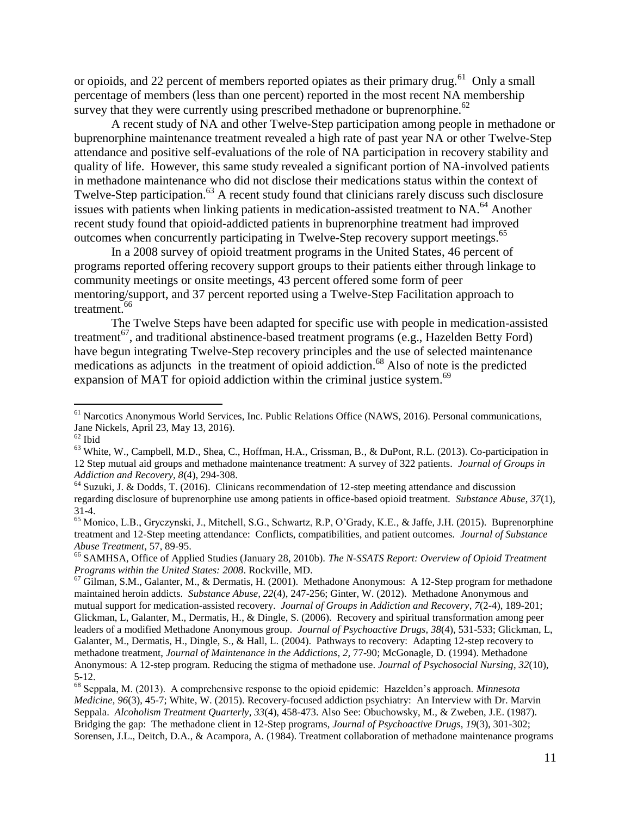or opioids, and 22 percent of members reported opiates as their primary drug.<sup>61</sup> Only a small percentage of members (less than one percent) reported in the most recent NA membership survey that they were currently using prescribed methadone or buprenorphine.<sup>62</sup>

A recent study of NA and other Twelve-Step participation among people in methadone or buprenorphine maintenance treatment revealed a high rate of past year NA or other Twelve-Step attendance and positive self-evaluations of the role of NA participation in recovery stability and quality of life. However, this same study revealed a significant portion of NA-involved patients in methadone maintenance who did not disclose their medications status within the context of Twelve-Step participation.<sup>63</sup> A recent study found that clinicians rarely discuss such disclosure issues with patients when linking patients in medication-assisted treatment to NA.<sup>64</sup> Another recent study found that opioid-addicted patients in buprenorphine treatment had improved outcomes when concurrently participating in Twelve-Step recovery support meetings. 65

In a 2008 survey of opioid treatment programs in the United States, 46 percent of programs reported offering recovery support groups to their patients either through linkage to community meetings or onsite meetings, 43 percent offered some form of peer mentoring/support, and 37 percent reported using a Twelve-Step Facilitation approach to treatment.<sup>66</sup>

The Twelve Steps have been adapted for specific use with people in medication-assisted treatment<sup>67</sup>, and traditional abstinence-based treatment programs (e.g., Hazelden Betty Ford) have begun integrating Twelve-Step recovery principles and the use of selected maintenance medications as adjuncts in the treatment of opioid addiction. <sup>68</sup> Also of note is the predicted expansion of MAT for opioid addiction within the criminal justice system.<sup>69</sup>

<sup>&</sup>lt;sup>61</sup> Narcotics Anonymous World Services, Inc. Public Relations Office (NAWS, 2016). Personal communications, Jane Nickels, April 23, May 13, 2016).

 $^{62}$  Ibid

<sup>63</sup> White, W., Campbell, M.D., Shea, C., Hoffman, H.A., Crissman, B., & DuPont, R.L. (2013). Co-participation in 12 Step mutual aid groups and methadone maintenance treatment: A survey of 322 patients. *Journal of Groups in Addiction and Recovery, 8*(4), 294-308.

 $64$  Suzuki, J. & Dodds, T. (2016). Clinicans recommendation of 12-step meeting attendance and discussion regarding disclosure of buprenorphine use among patients in office-based opioid treatment. *Substance Abuse*, *37*(1), 31-4.

<sup>65</sup> Monico, L.B., Gryczynski, J., Mitchell, S.G., Schwartz, R.P, O'Grady, K.E., & Jaffe, J.H. (2015). Buprenorphine treatment and 12-Step meeting attendance: Conflicts, compatibilities, and patient outcomes. *Journal of Substance Abuse Treatment*, 57, 89-95.

<sup>66</sup> SAMHSA, Office of Applied Studies (January 28, 2010b). *The N-SSATS Report: Overview of Opioid Treatment Programs within the United States: 2008*. Rockville, MD.

<sup>&</sup>lt;sup>67</sup> Gilman, S.M., Galanter, M., & Dermatis, H. (2001). Methadone Anonymous: A 12-Step program for methadone maintained heroin addicts. *Substance Abuse, 22*(4), 247-256; Ginter, W. (2012). Methadone Anonymous and mutual support for medication-assisted recovery. *Journal of Groups in Addiction and Recovery*, *7*(2-4), 189-201; Glickman, L, Galanter, M., Dermatis, H., & Dingle, S. (2006). Recovery and spiritual transformation among peer leaders of a modified Methadone Anonymous group. *Journal of Psychoactive Drugs*, *38*(4), 531-533; Glickman, L, Galanter, M., Dermatis, H., Dingle, S., & Hall, L. (2004). Pathways to recovery: Adapting 12-step recovery to methadone treatment, *Journal of Maintenance in the Addictions*, *2,* 77-90; McGonagle, D. (1994). Methadone Anonymous: A 12-step program. Reducing the stigma of methadone use. *Journal of Psychosocial Nursing*, *32*(10), 5-12.

<sup>68</sup> Seppala, M. (2013). A comprehensive response to the opioid epidemic: Hazelden's approach. *Minnesota Medicine, 96*(3), 45-7; White, W. (2015). Recovery-focused addiction psychiatry: An Interview with Dr. Marvin Seppala. *Alcoholism Treatment Quarterly*, *33*(4), 458-473. Also See: Obuchowsky, M., & Zweben, J.E. (1987). Bridging the gap: The methadone client in 12-Step programs, *Journal of Psychoactive Drugs*, *19*(3), 301-302; Sorensen, J.L., Deitch, D.A., & Acampora, A. (1984). Treatment collaboration of methadone maintenance programs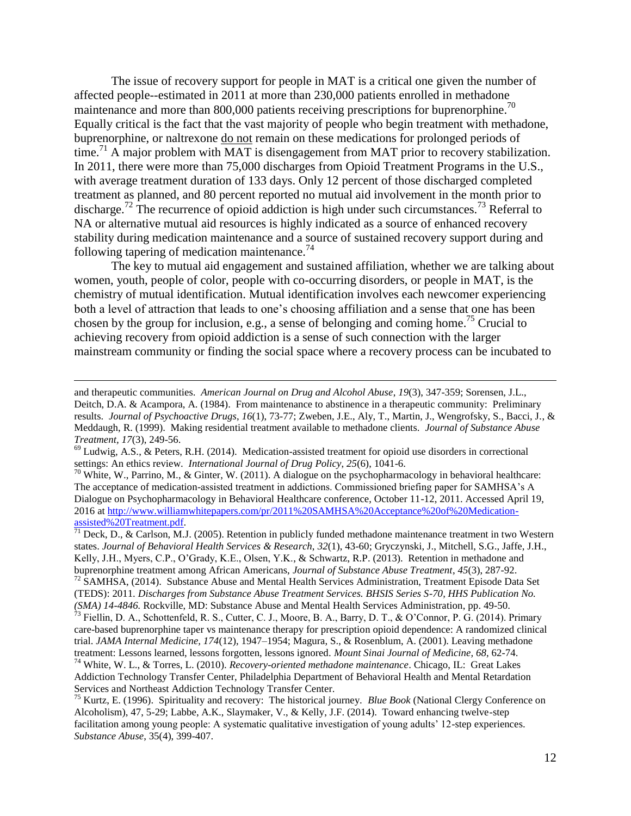The issue of recovery support for people in MAT is a critical one given the number of affected people--estimated in 2011 at more than 230,000 patients enrolled in methadone maintenance and more than 800,000 patients receiving prescriptions for buprenorphine.<sup>70</sup> Equally critical is the fact that the vast majority of people who begin treatment with methadone, buprenorphine, or naltrexone do not remain on these medications for prolonged periods of time.<sup>71</sup> A major problem with  $\overline{MAT}$  is disengagement from MAT prior to recovery stabilization. In 2011, there were more than 75,000 discharges from Opioid Treatment Programs in the U.S., with average treatment duration of 133 days. Only 12 percent of those discharged completed treatment as planned, and 80 percent reported no mutual aid involvement in the month prior to discharge.<sup>72</sup> The recurrence of opioid addiction is high under such circumstances.<sup>73</sup> Referral to NA or alternative mutual aid resources is highly indicated as a source of enhanced recovery stability during medication maintenance and a source of sustained recovery support during and following tapering of medication maintenance. $74$ 

The key to mutual aid engagement and sustained affiliation, whether we are talking about women, youth, people of color, people with co-occurring disorders, or people in MAT, is the chemistry of mutual identification. Mutual identification involves each newcomer experiencing both a level of attraction that leads to one's choosing affiliation and a sense that one has been chosen by the group for inclusion, e.g., a sense of belonging and coming home.<sup>75</sup> Crucial to achieving recovery from opioid addiction is a sense of such connection with the larger mainstream community or finding the social space where a recovery process can be incubated to

 $\overline{a}$ 

<sup>70</sup> White, W., Parrino, M., & Ginter, W. (2011). A dialogue on the psychopharmacology in behavioral healthcare: The acceptance of medication-assisted treatment in addictions. Commissioned briefing paper for SAMHSA's A Dialogue on Psychopharmacology in Behavioral Healthcare conference, October 11-12, 2011. Accessed April 19, 2016 at [http://www.williamwhitepapers.com/pr/2011%20SAMHSA%20Acceptance%20of%20Medication](http://www.williamwhitepapers.com/pr/2011%20SAMHSA%20Acceptance%20of%20Medication-assisted%20Treatment.pdf)[assisted%20Treatment.pdf.](http://www.williamwhitepapers.com/pr/2011%20SAMHSA%20Acceptance%20of%20Medication-assisted%20Treatment.pdf)

 $^{71}$  Deck, D., & Carlson, M.J. (2005). Retention in publicly funded methadone maintenance treatment in two Western states. *Journal of Behavioral Health Services & Research*, *32*(1), 43-60; Gryczynski, J., Mitchell, S.G., Jaffe, J.H., Kelly, J.H., Myers, C.P., O'Grady, K.E., Olsen, Y.K., & Schwartz, R.P. (2013). Retention in methadone and buprenorphine treatment among African Americans, *Journal of Substance Abuse Treatment*, *45*(3), 287-92. <sup>72</sup> SAMHSA, (2014). Substance Abuse and Mental Health Services Administration, Treatment Episode Data Set (TEDS): 2011. *Discharges from Substance Abuse Treatment Services. BHSIS Series S-70, HHS Publication No. (SMA) 14-4846.* Rockville, MD: Substance Abuse and Mental Health Services Administration, pp. 49-50.

and therapeutic communities. *American Journal on Drug and Alcohol Abuse*, *19*(3), 347-359; Sorensen, J.L., Deitch, D.A. & Acampora, A. (1984). From maintenance to abstinence in a therapeutic community: Preliminary results. *Journal of Psychoactive Drugs*, *16*(1), 73-77; Zweben, J.E., Aly, T., Martin, J., Wengrofsky, S., Bacci, J., & Meddaugh, R. (1999). Making residential treatment available to methadone clients. *Journal of Substance Abuse Treatment, 17*(3), 249-56.

<sup>69</sup> Ludwig, A.S., & Peters, R.H. (2014). Medication-assisted treatment for opioid use disorders in correctional settings: An ethics review. *International Journal of Drug Policy*, *25*(6), 1041-6.

 $^{73}$  Fiellin, D. A., Schottenfeld, R. S., Cutter, C. J., Moore, B. A., Barry, D. T., & O'Connor, P. G. (2014). Primary care-based buprenorphine taper vs maintenance therapy for prescription opioid dependence: A randomized clinical trial. *JAMA Internal Medicine, 174*(12), 1947–1954; Magura, S., & Rosenblum, A. (2001). Leaving methadone treatment: Lessons learned, lessons forgotten, lessons ignored. *Mount Sinai Journal of Med*i*cine, 68*, 62-74. <sup>74</sup> White, W. L., & Torres, L. (2010). *Recovery-oriented methadone maintenance*. Chicago, IL: Great Lakes

Addiction Technology Transfer Center, Philadelphia Department of Behavioral Health and Mental Retardation Services and Northeast Addiction Technology Transfer Center.

<sup>75</sup> Kurtz, E. (1996). Spirituality and recovery: The historical journey. *Blue Book* (National Clergy Conference on Alcoholism), 47, 5-29; Labbe, A.K., Slaymaker, V., & Kelly, J.F. (2014). Toward enhancing twelve-step facilitation among young people: A systematic qualitative investigation of young adults' 12-step experiences. *Substance Abuse*, 35(4), 399-407.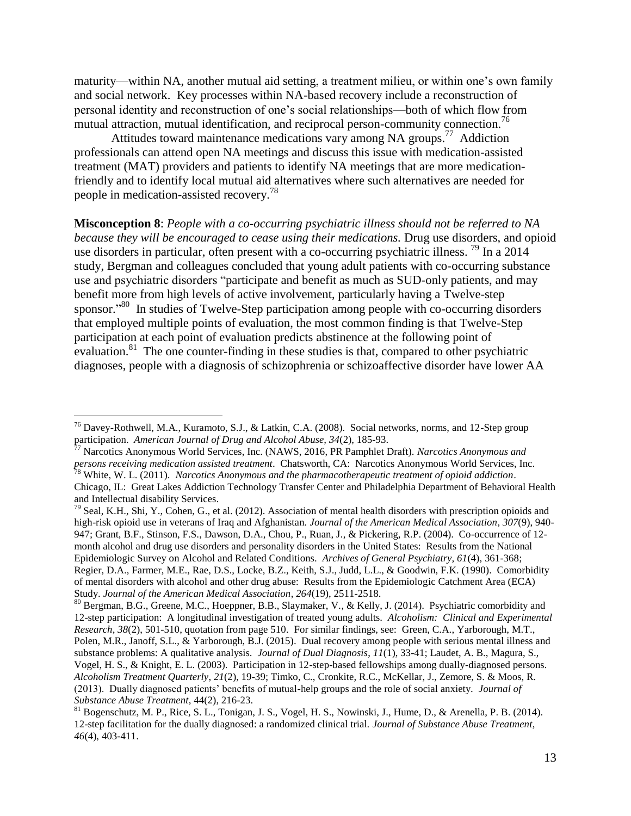maturity—within NA, another mutual aid setting, a treatment milieu, or within one's own family and social network. Key processes within NA-based recovery include a reconstruction of personal identity and reconstruction of one's social relationships—both of which flow from mutual attraction, mutual identification, and reciprocal person-community connection.<sup>76</sup>

Attitudes toward maintenance medications vary among NA groups.<sup>77</sup> Addiction professionals can attend open NA meetings and discuss this issue with medication-assisted treatment (MAT) providers and patients to identify NA meetings that are more medicationfriendly and to identify local mutual aid alternatives where such alternatives are needed for people in medication-assisted recovery.<sup>78</sup>

**Misconception 8**: *People with a co-occurring psychiatric illness should not be referred to NA because they will be encouraged to cease using their medications.* Drug use disorders, and opioid use disorders in particular, often present with a co-occurring psychiatric illness.<sup>79</sup> In a 2014 study, Bergman and colleagues concluded that young adult patients with co-occurring substance use and psychiatric disorders "participate and benefit as much as SUD-only patients, and may benefit more from high levels of active involvement, particularly having a Twelve-step sponsor."<sup>80</sup> In studies of Twelve-Step participation among people with co-occurring disorders that employed multiple points of evaluation, the most common finding is that Twelve-Step participation at each point of evaluation predicts abstinence at the following point of evaluation.<sup>81</sup> The one counter-finding in these studies is that, compared to other psychiatric diagnoses, people with a diagnosis of schizophrenia or schizoaffective disorder have lower AA

<sup>&</sup>lt;sup>76</sup> Davey-Rothwell, M.A., Kuramoto, S.J., & Latkin, C.A. (2008). Social networks, norms, and 12-Step group participation. *American Journal of Drug and Alcohol Abuse, 34*(2), 185-93.

<sup>77</sup> Narcotics Anonymous World Services, Inc. (NAWS, 2016, PR Pamphlet Draft). *Narcotics Anonymous and persons receiving medication assisted treatment*. Chatsworth, CA: Narcotics Anonymous World Services, Inc. <sup>78</sup> White, W. L. (2011). *Narcotics Anonymous and the pharmacotherapeutic treatment of opioid addiction*.

Chicago, IL: Great Lakes Addiction Technology Transfer Center and Philadelphia Department of Behavioral Health and Intellectual disability Services.

 $79$  Seal, K.H., Shi, Y., Cohen, G., et al. (2012). Association of mental health disorders with prescription opioids and high-risk opioid use in veterans of Iraq and Afghanistan. *Journal of the American Medical Association*, *307*(9), 940- 947; Grant, B.F., Stinson, F.S., Dawson, D.A., Chou, P., Ruan, J., & Pickering, R.P. (2004). Co-occurrence of 12 month alcohol and drug use disorders and personality disorders in the United States: Results from the National Epidemiologic Survey on Alcohol and Related Conditions. *Archives of General Psychiatry, 61*(4), 361-368; Regier, D.A., Farmer, M.E., Rae, D.S., Locke, B.Z., Keith, S.J., Judd, L.L., & Goodwin, F.K. (1990). Comorbidity of mental disorders with alcohol and other drug abuse: Results from the Epidemiologic Catchment Area (ECA) Study. *Journal of the American Medical Association*, *264*(19), 2511-2518.

<sup>&</sup>lt;sup>80</sup> Bergman, B.G., Greene, M.C., Hoeppner, B.B., Slaymaker, V., & Kelly, J. (2014). Psychiatric comorbidity and 12-step participation: A longitudinal investigation of treated young adults. *Alcoholism: Clinical and Experimental Research, 38*(2), 501-510, quotation from page 510. For similar findings, see: Green, C.A., Yarborough, M.T., Polen, M.R., Janoff, S.L., & Yarborough, B.J. (2015). Dual recovery among people with serious mental illness and substance problems: A qualitative analysis. *Journal of Dual Diagnosis*, *11*(1), 33-41; Laudet, A. B., Magura, S., Vogel, H. S., & Knight, E. L. (2003). Participation in 12-step-based fellowships among dually-diagnosed persons. *Alcoholism Treatment Quarterly*, *21*(2), 19-39; Timko, C., Cronkite, R.C., McKellar, J., Zemore, S. & Moos, R. (2013). Dually diagnosed patients' benefits of mutual-help groups and the role of social anxiety. *Journal of Substance Abuse Treatment*, 44(2), 216-23.

<sup>&</sup>lt;sup>81</sup> Bogenschutz, M. P., Rice, S. L., Tonigan, J. S., Vogel, H. S., Nowinski, J., Hume, D., & Arenella, P. B. (2014). 12-step facilitation for the dually diagnosed: a randomized clinical trial. *Journal of Substance Abuse Treatment*, *46*(4), 403-411.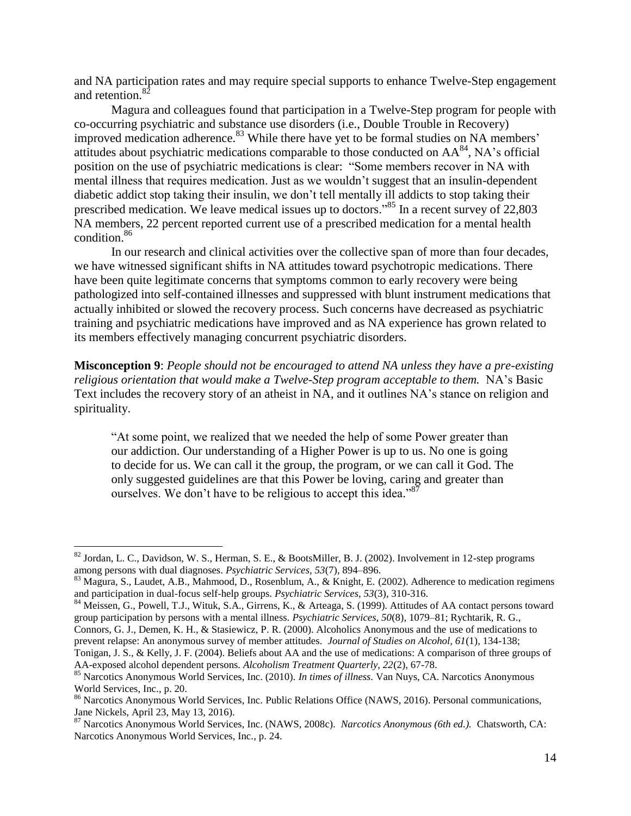and NA participation rates and may require special supports to enhance Twelve-Step engagement and retention.<sup>82</sup>

Magura and colleagues found that participation in a Twelve-Step program for people with co-occurring psychiatric and substance use disorders (i.e., Double Trouble in Recovery) improved medication adherence. $83$  While there have yet to be formal studies on NA members' attitudes about psychiatric medications comparable to those conducted on  $AA^{84}$ , NA's official position on the use of psychiatric medications is clear: "Some members recover in NA with mental illness that requires medication. Just as we wouldn't suggest that an insulin-dependent diabetic addict stop taking their insulin, we don't tell mentally ill addicts to stop taking their prescribed medication. We leave medical issues up to doctors."<sup>85</sup> In a recent survey of 22,803 NA members, 22 percent reported current use of a prescribed medication for a mental health condition. 86

In our research and clinical activities over the collective span of more than four decades, we have witnessed significant shifts in NA attitudes toward psychotropic medications. There have been quite legitimate concerns that symptoms common to early recovery were being pathologized into self-contained illnesses and suppressed with blunt instrument medications that actually inhibited or slowed the recovery process. Such concerns have decreased as psychiatric training and psychiatric medications have improved and as NA experience has grown related to its members effectively managing concurrent psychiatric disorders.

**Misconception 9**: *People should not be encouraged to attend NA unless they have a pre-existing religious orientation that would make a Twelve-Step program acceptable to them.* NA's Basic Text includes the recovery story of an atheist in NA, and it outlines NA's stance on religion and spirituality.

"At some point, we realized that we needed the help of some Power greater than our addiction. Our understanding of a Higher Power is up to us. No one is going to decide for us. We can call it the group, the program, or we can call it God. The only suggested guidelines are that this Power be loving, caring and greater than ourselves. We don't have to be religious to accept this idea." $8^{7}$ 

 $82$  Jordan, L. C., Davidson, W. S., Herman, S. E., & BootsMiller, B. J. (2002). Involvement in 12-step programs among persons with dual diagnoses. *Psychiatric Services, 53*(7), 894–896.

<sup>&</sup>lt;sup>83</sup> Magura, S., Laudet, A.B., Mahmood, D., Rosenblum, A., & Knight, E. (2002). Adherence to medication regimens and participation in dual-focus self-help groups. *Psychiatric Services, 53*(3), 310-316.

<sup>&</sup>lt;sup>84</sup> Meissen, G., Powell, T.J., Wituk, S.A., Girrens, K., & Arteaga, S. (1999). Attitudes of AA contact persons toward group participation by persons with a mental illness. *Psychiatric Services, 50*(8), 1079–81; Rychtarik, R. G.,

Connors, G. J., Demen, K. H., & Stasiewicz, P. R. (2000). Alcoholics Anonymous and the use of medications to prevent relapse: An anonymous survey of member attitudes. *Journal of Studies on Alcohol, 61*(1), 134-138;

Tonigan, J. S., & Kelly, J. F. (2004). Beliefs about AA and the use of medications: A comparison of three groups of AA-exposed alcohol dependent persons. *Alcoholism Treatment Quarterly, 22*(2), 67-78.

<sup>85</sup> Narcotics Anonymous World Services, Inc. (2010). *In times of illness*. Van Nuys, CA. Narcotics Anonymous World Services, Inc., p. 20.

<sup>&</sup>lt;sup>86</sup> Narcotics Anonymous World Services, Inc. Public Relations Office (NAWS, 2016). Personal communications, Jane Nickels, April 23, May 13, 2016).

<sup>87</sup> Narcotics Anonymous World Services, Inc. (NAWS, 2008c). *Narcotics Anonymous (6th ed.).* Chatsworth, CA: Narcotics Anonymous World Services, Inc., p. 24.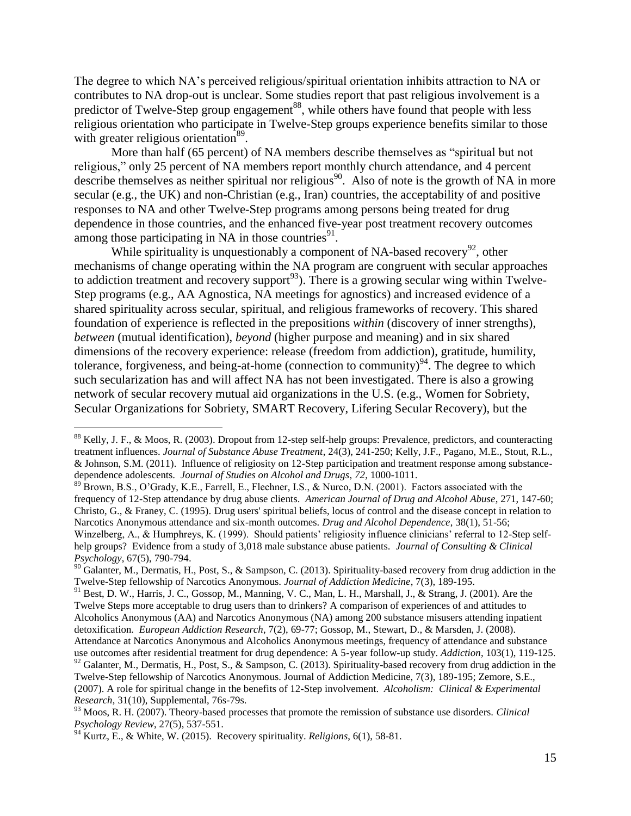The degree to which NA's perceived religious/spiritual orientation inhibits attraction to NA or contributes to NA drop-out is unclear. Some studies report that past religious involvement is a predictor of Twelve-Step group engagement<sup>88</sup>, while others have found that people with less religious orientation who participate in Twelve-Step groups experience benefits similar to those with greater religious orientation<sup>89</sup>.

More than half (65 percent) of NA members describe themselves as "spiritual but not religious," only 25 percent of NA members report monthly church attendance, and 4 percent describe themselves as neither spiritual nor religious<sup>90</sup>. Also of note is the growth of NA in more secular (e.g., the UK) and non-Christian (e.g., Iran) countries, the acceptability of and positive responses to NA and other Twelve-Step programs among persons being treated for drug dependence in those countries, and the enhanced five-year post treatment recovery outcomes among those participating in NA in those countries $^{91}$ .

While spirituality is unquestionably a component of NA-based recovery<sup>92</sup>, other mechanisms of change operating within the NA program are congruent with secular approaches to addiction treatment and recovery support<sup>93</sup>). There is a growing secular wing within Twelve-Step programs (e.g., AA Agnostica, NA meetings for agnostics) and increased evidence of a shared spirituality across secular, spiritual, and religious frameworks of recovery. This shared foundation of experience is reflected in the prepositions *within* (discovery of inner strengths), *between* (mutual identification), *beyond* (higher purpose and meaning) and in six shared dimensions of the recovery experience: release (freedom from addiction), gratitude, humility, tolerance, forgiveness, and being-at-home (connection to community) $94$ . The degree to which such secularization has and will affect NA has not been investigated. There is also a growing network of secular recovery mutual aid organizations in the U.S. (e.g., Women for Sobriety, Secular Organizations for Sobriety, SMART Recovery, Lifering Secular Recovery), but the

 $88$  Kelly, J. F., & Moos, R. (2003). Dropout from 12-step self-help groups: Prevalence, predictors, and counteracting treatment influences. *Journal of Substance Abuse Treatment*, 24(3), 241-250; Kelly, J.F., Pagano, M.E., Stout, R.L., & Johnson, S.M. (2011). Influence of religiosity on 12-Step participation and treatment response among substancedependence adolescents. *Journal of Studies on Alcohol and Drugs*, *72*, 1000-1011.

<sup>&</sup>lt;sup>89</sup> Brown, B.S., O'Grady, K.E., Farrell, E., Flechner, I.S., & Nurco, D.N. (2001). Factors associated with the frequency of 12-Step attendance by drug abuse clients. *American Journal of Drug and Alcohol Abuse*, 271, 147-60; Christo, G., & Franey, C. (1995). Drug users' spiritual beliefs, locus of control and the disease concept in relation to Narcotics Anonymous attendance and six-month outcomes. *Drug and Alcohol Dependence*, 38(1), 51-56; Winzelberg, A., & Humphreys, K. (1999). Should patients' religiosity influence clinicians' referral to 12-Step selfhelp groups? Evidence from a study of 3,018 male substance abuse patients. *Journal of Consulting & Clinical Psychology*, 67(5), 790-794.

 $90$  Galanter, M., Dermatis, H., Post, S., & Sampson, C. (2013). Spirituality-based recovery from drug addiction in the Twelve-Step fellowship of Narcotics Anonymous. *Journal of Addiction Medicine*, 7(3), 189-195.

<sup>&</sup>lt;sup>91</sup> Best, D. W., Harris, J. C., Gossop, M., Manning, V. C., Man, L. H., Marshall, J., & Strang, J. (2001). Are the Twelve Steps more acceptable to drug users than to drinkers? A comparison of experiences of and attitudes to Alcoholics Anonymous (AA) and Narcotics Anonymous (NA) among 200 substance misusers attending inpatient detoxification. *European Addiction Research*, 7(2), 69-77; Gossop, M., Stewart, D., & Marsden, J. (2008). Attendance at Narcotics Anonymous and Alcoholics Anonymous meetings, frequency of attendance and substance use outcomes after residential treatment for drug dependence: A 5-year follow-up study. *Addiction*, 103(1), 119-125.  $92$  Galanter, M., Dermatis, H., Post, S., & Sampson, C. (2013). Spirituality-based recovery from drug addiction in the Twelve-Step fellowship of Narcotics Anonymous. Journal of Addiction Medicine, 7(3), 189-195; Zemore, S.E., (2007). A role for spiritual change in the benefits of 12-Step involvement. *Alcoholism: Clinical & Experimental Research*, 31(10), Supplemental, 76s-79s.

<sup>93</sup> Moos, R. H. (2007). Theory-based processes that promote the remission of substance use disorders. *Clinical Psychology Review*, 27(5), 537-551.

<sup>94</sup> Kurtz, E., & White, W. (2015). Recovery spirituality. *Religions*, 6(1), 58-81.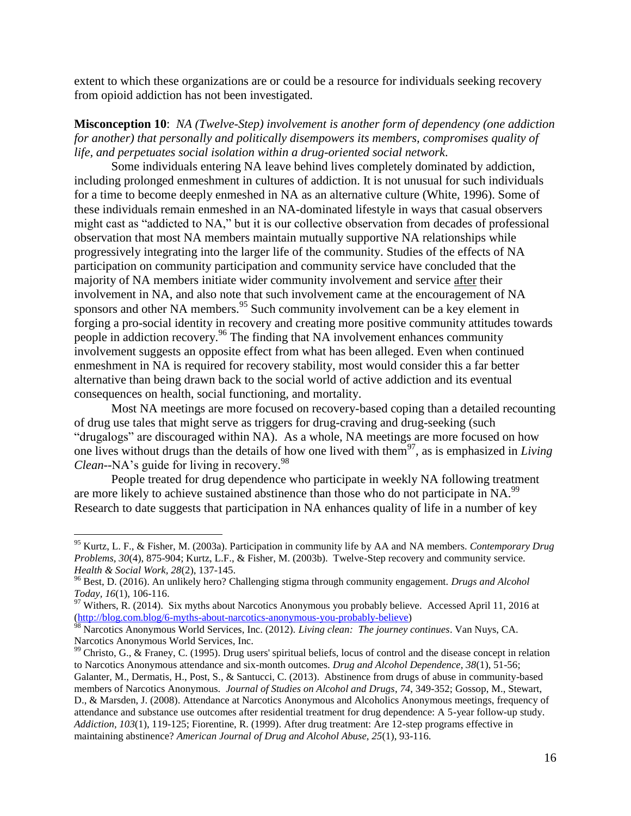extent to which these organizations are or could be a resource for individuals seeking recovery from opioid addiction has not been investigated.

**Misconception 10**: *NA (Twelve-Step) involvement is another form of dependency (one addiction for another) that personally and politically disempowers its members, compromises quality of life, and perpetuates social isolation within a drug-oriented social network*.

Some individuals entering NA leave behind lives completely dominated by addiction, including prolonged enmeshment in cultures of addiction. It is not unusual for such individuals for a time to become deeply enmeshed in NA as an alternative culture (White, 1996). Some of these individuals remain enmeshed in an NA-dominated lifestyle in ways that casual observers might cast as "addicted to NA," but it is our collective observation from decades of professional observation that most NA members maintain mutually supportive NA relationships while progressively integrating into the larger life of the community. Studies of the effects of NA participation on community participation and community service have concluded that the majority of NA members initiate wider community involvement and service after their involvement in NA, and also note that such involvement came at the encouragement of NA sponsors and other NA members.<sup>95</sup> Such community involvement can be a key element in forging a pro-social identity in recovery and creating more positive community attitudes towards people in addiction recovery.<sup>96</sup> The finding that NA involvement enhances community involvement suggests an opposite effect from what has been alleged. Even when continued enmeshment in NA is required for recovery stability, most would consider this a far better alternative than being drawn back to the social world of active addiction and its eventual consequences on health, social functioning, and mortality.

Most NA meetings are more focused on recovery-based coping than a detailed recounting of drug use tales that might serve as triggers for drug-craving and drug-seeking (such "drugalogs" are discouraged within NA). As a whole, NA meetings are more focused on how one lives without drugs than the details of how one lived with them<sup>97</sup>, as is emphasized in *Living Clean*--NA's guide for living in recovery. 98

People treated for drug dependence who participate in weekly NA following treatment are more likely to achieve sustained abstinence than those who do not participate in NA.<sup>99</sup> Research to date suggests that participation in NA enhances quality of life in a number of key

<sup>95</sup> Kurtz, L. F., & Fisher, M. (2003a). Participation in community life by AA and NA members. *Contemporary Drug Problems, 30*(4), 875-904; Kurtz, L.F., & Fisher, M. (2003b). Twelve-Step recovery and community service. *Health & Social Work, 28*(2), 137-145.

<sup>96</sup> Best, D. (2016). An unlikely hero? Challenging stigma through community engagement. *Drugs and Alcohol Today, 16*(1), 106-116.

 $97$  Withers, R. (2014). Six myths about Narcotics Anonymous you probably believe. Accessed April 11, 2016 at [\(http://blog.com.blog/6-myths-about-narcotics-anonymous-you-probably-believe\)](http://blog.com.blog/6-myths-about-narcotics-anonymous-you-probably-believe)

<sup>98</sup> Narcotics Anonymous World Services, Inc. (2012). *Living clean: The journey continues*. Van Nuys, CA. Narcotics Anonymous World Services, Inc.

 $99$  Christo, G., & Franey, C. (1995). Drug users' spiritual beliefs, locus of control and the disease concept in relation to Narcotics Anonymous attendance and six-month outcomes. *Drug and Alcohol Dependence, 38*(1), 51-56; Galanter, M., Dermatis, H., Post, S., & Santucci, C. (2013). Abstinence from drugs of abuse in community-based members of Narcotics Anonymous. *Journal of Studies on Alcohol and Drugs*, *74*, 349-352; Gossop, M., Stewart, D., & Marsden, J. (2008). Attendance at Narcotics Anonymous and Alcoholics Anonymous meetings, frequency of attendance and substance use outcomes after residential treatment for drug dependence: A 5-year follow-up study. *Addiction, 103*(1), 119-125; Fiorentine, R. (1999). After drug treatment: Are 12-step programs effective in maintaining abstinence? *American Journal of Drug and Alcohol Abuse, 25*(1), 93-116.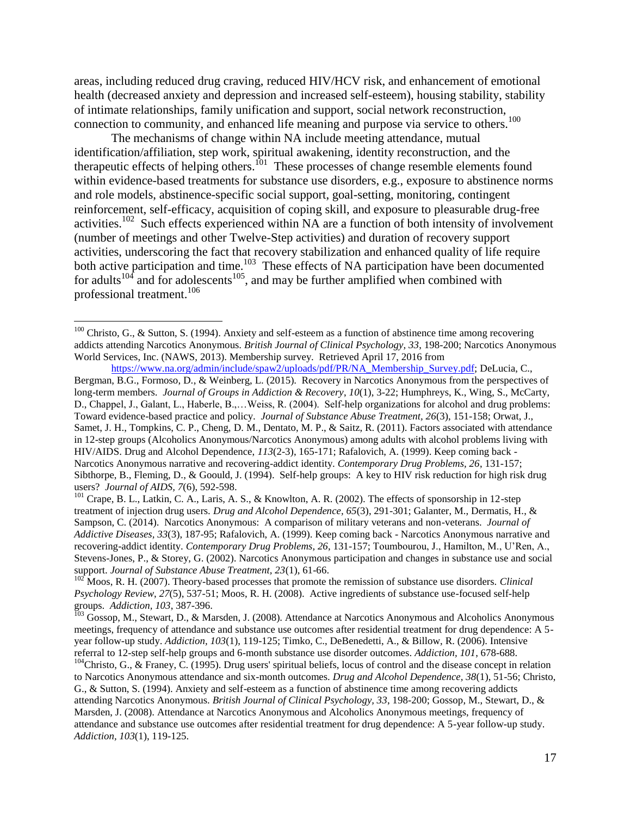areas, including reduced drug craving, reduced HIV/HCV risk, and enhancement of emotional health (decreased anxiety and depression and increased self-esteem), housing stability, stability of intimate relationships, family unification and support, social network reconstruction, connection to community, and enhanced life meaning and purpose via service to others.<sup>100</sup>

The mechanisms of change within NA include meeting attendance, mutual identification/affiliation, step work, spiritual awakening, identity reconstruction, and the therapeutic effects of helping others.<sup>101</sup> These processes of change resemble elements found within evidence-based treatments for substance use disorders, e.g., exposure to abstinence norms and role models, abstinence-specific social support, goal-setting, monitoring, contingent reinforcement, self-efficacy, acquisition of coping skill, and exposure to pleasurable drug-free activities.<sup>102</sup> Such effects experienced within NA are a function of both intensity of involvement (number of meetings and other Twelve-Step activities) and duration of recovery support activities, underscoring the fact that recovery stabilization and enhanced quality of life require both active participation and time.<sup>103</sup> These effects of NA participation have been documented for adults<sup>104</sup> and for adolescents<sup>105</sup>, and may be further amplified when combined with professional treatment.<sup>106</sup>

 $100$  Christo, G., & Sutton, S. (1994). Anxiety and self-esteem as a function of abstinence time among recovering addicts attending Narcotics Anonymous. *British Journal of Clinical Psychology, 33*, 198-200; Narcotics Anonymous World Services, Inc. (NAWS, 2013). Membership survey. Retrieved April 17, 2016 from

[https://www.na.org/admin/include/spaw2/uploads/pdf/PR/NA\\_Membership\\_Survey.pdf;](https://www.na.org/admin/include/spaw2/uploads/pdf/PR/NA_Membership_Survey.pdf) DeLucia, C., Bergman, B.G., Formoso, D., & Weinberg, L. (2015). Recovery in Narcotics Anonymous from the perspectives of long-term members. *Journal of Groups in Addiction & Recovery*, *10*(1), 3-22; Humphreys, K., Wing, S., McCarty, D., Chappel, J., Galant, L., Haberle, B.,…Weiss, R. (2004). Self-help organizations for alcohol and drug problems: Toward evidence-based practice and policy. *Journal of Substance Abuse Treatment, 26*(3), 151-158; Orwat, J., Samet, J. H., Tompkins, C. P., Cheng, D. M., Dentato, M. P., & Saitz, R. (2011). Factors associated with attendance in 12-step groups (Alcoholics Anonymous/Narcotics Anonymous) among adults with alcohol problems living with HIV/AIDS. Drug and Alcohol Dependence, *113*(2-3), 165-171; Rafalovich, A. (1999). Keep coming back - Narcotics Anonymous narrative and recovering-addict identity. *Contemporary Drug Problems, 26*, 131-157; Sibthorpe, B., Fleming, D., & Goould, J. (1994). Self-help groups: A key to HIV risk reduction for high risk drug users? *Journal of AIDS, 7*(6), 592-598.

<sup>&</sup>lt;sup>101</sup> Crape, B. L., Latkin, C. A., Laris, A. S., & Knowlton, A. R. (2002). The effects of sponsorship in 12-step treatment of injection drug users. *Drug and Alcohol Dependence, 65*(3), 291-301; Galanter, M., Dermatis, H., & Sampson, C. (2014). Narcotics Anonymous: A comparison of military veterans and non-veterans. *Journal of Addictive Diseases, 33*(3), 187-95; Rafalovich, A. (1999). Keep coming back - Narcotics Anonymous narrative and recovering-addict identity. *Contemporary Drug Problems, 26*, 131-157; Toumbourou, J., Hamilton, M., U'Ren, A., Stevens-Jones, P., & Storey, G. (2002). Narcotics Anonymous participation and changes in substance use and social support. *Journal of Substance Abuse Treatment, 23*(1), 61-66.

<sup>&</sup>lt;sup>102</sup> Moos, R. H. (2007). Theory-based processes that promote the remission of substance use disorders. *Clinical Psychology Review*, *27*(5), 537-51; Moos, R. H. (2008). Active ingredients of substance use-focused self-help groups. *Addiction, 103*, 387-396.

<sup>&</sup>lt;sup>103</sup> Gossop, M., Stewart, D., & Marsden, J. (2008). Attendance at Narcotics Anonymous and Alcoholics Anonymous meetings, frequency of attendance and substance use outcomes after residential treatment for drug dependence: A 5 year follow-up study. *Addiction, 103*(1), 119-125; Timko, C., DeBenedetti, A., & Billow, R. (2006). Intensive referral to 12-step self-help groups and 6-month substance use disorder outcomes. *Addiction, 101*, 678-688.

 $104$ Christo, G., & Franey, C. (1995). Drug users' spiritual beliefs, locus of control and the disease concept in relation to Narcotics Anonymous attendance and six-month outcomes. *Drug and Alcohol Dependence, 38*(1), 51-56; Christo, G., & Sutton, S. (1994). Anxiety and self-esteem as a function of abstinence time among recovering addicts attending Narcotics Anonymous. *British Journal of Clinical Psychology, 33*, 198-200; Gossop, M., Stewart, D., & Marsden, J. (2008). Attendance at Narcotics Anonymous and Alcoholics Anonymous meetings, frequency of attendance and substance use outcomes after residential treatment for drug dependence: A 5-year follow-up study. *Addiction, 103*(1), 119-125.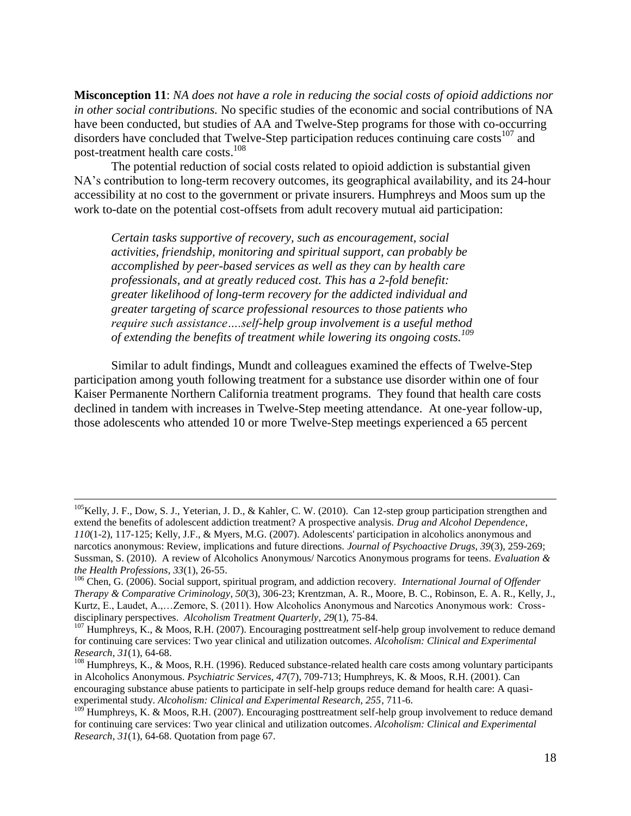**Misconception 11**: *NA does not have a role in reducing the social costs of opioid addictions nor in other social contributions.* No specific studies of the economic and social contributions of NA have been conducted, but studies of AA and Twelve-Step programs for those with co-occurring disorders have concluded that Twelve-Step participation reduces continuing care  $costs<sup>107</sup>$  and post-treatment health care costs.<sup>108</sup>

The potential reduction of social costs related to opioid addiction is substantial given NA's contribution to long-term recovery outcomes, its geographical availability, and its 24-hour accessibility at no cost to the government or private insurers. Humphreys and Moos sum up the work to-date on the potential cost-offsets from adult recovery mutual aid participation:

*Certain tasks supportive of recovery, such as encouragement, social activities, friendship, monitoring and spiritual support, can probably be accomplished by peer-based services as well as they can by health care professionals, and at greatly reduced cost. This has a 2-fold benefit: greater likelihood of long-term recovery for the addicted individual and greater targeting of scarce professional resources to those patients who require such assistance….self-help group involvement is a useful method of extending the benefits of treatment while lowering its ongoing costs.<sup>109</sup>*

Similar to adult findings, Mundt and colleagues examined the effects of Twelve-Step participation among youth following treatment for a substance use disorder within one of four Kaiser Permanente Northern California treatment programs. They found that health care costs declined in tandem with increases in Twelve-Step meeting attendance. At one-year follow-up, those adolescents who attended 10 or more Twelve-Step meetings experienced a 65 percent

 $105$ Kelly, J. F., Dow, S. J., Yeterian, J. D., & Kahler, C. W. (2010). Can 12-step group participation strengthen and extend the benefits of adolescent addiction treatment? A prospective analysis. *Drug and Alcohol Dependence*, *110*(1-2), 117-125; Kelly, J.F., & Myers, M.G. (2007). Adolescents' participation in alcoholics anonymous and narcotics anonymous: Review, implications and future directions. *Journal of Psychoactive Drugs, 39*(3), 259-269; Sussman, S. (2010). A review of Alcoholics Anonymous/ Narcotics Anonymous programs for teens. *Evaluation & the Health Professions*, *33*(1), 26-55.

<sup>106</sup> Chen, G. (2006). Social support, spiritual program, and addiction recovery. *International Journal of Offender Therapy & Comparative Criminology*, *50*(3), 306-23; Krentzman, A. R., Moore, B. C., Robinson, E. A. R., Kelly, J., Kurtz, E., Laudet, A.,…Zemore, S. (2011). How Alcoholics Anonymous and Narcotics Anonymous work: Crossdisciplinary perspectives. *Alcoholism Treatment Quarterly*, *29*(1), 75-84.

<sup>&</sup>lt;sup>107</sup> Humphreys, K., & Moos, R.H. (2007). Encouraging posttreatment self-help group involvement to reduce demand for continuing care services: Two year clinical and utilization outcomes. *Alcoholism: Clinical and Experimental Research, 31*(1), 64-68.

<sup>&</sup>lt;sup>108</sup> Humphreys, K., & Moos, R.H. (1996). Reduced substance-related health care costs among voluntary participants in Alcoholics Anonymous. *Psychiatric Services, 47*(7), 709-713; Humphreys, K. & Moos, R.H. (2001). Can encouraging substance abuse patients to participate in self-help groups reduce demand for health care: A quasiexperimental study. *Alcoholism: Clinical and Experimental Research, 255*, 711-6.

<sup>&</sup>lt;sup>109</sup> Humphreys, K. & Moos, R.H. (2007). Encouraging posttreatment self-help group involvement to reduce demand for continuing care services: Two year clinical and utilization outcomes. *Alcoholism: Clinical and Experimental Research, 31*(1), 64-68. Quotation from page 67.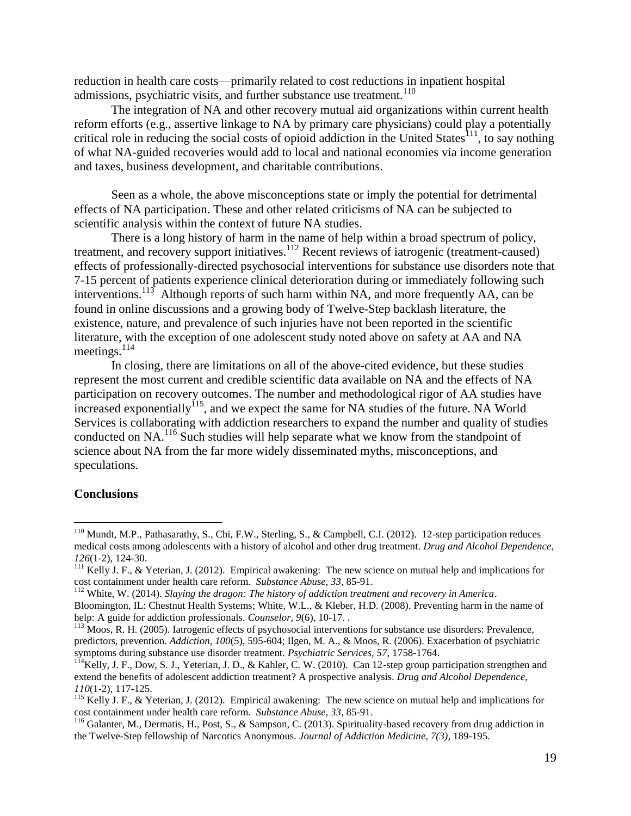reduction in health care costs—primarily related to cost reductions in inpatient hospital admissions, psychiatric visits, and further substance use treatment. $110$ 

The integration of NA and other recovery mutual aid organizations within current health reform efforts (e.g., assertive linkage to NA by primary care physicians) could play a potentially critical role in reducing the social costs of opioid addiction in the United States<sup>111</sup>, to say nothing of what NA-guided recoveries would add to local and national economies via income generation and taxes, business development, and charitable contributions.

Seen as a whole, the above misconceptions state or imply the potential for detrimental effects of NA participation. These and other related criticisms of NA can be subjected to scientific analysis within the context of future NA studies.

There is a long history of harm in the name of help within a broad spectrum of policy, treatment, and recovery support initiatives.<sup>112</sup> Recent reviews of iatrogenic (treatment-caused) effects of professionally-directed psychosocial interventions for substance use disorders note that 7-15 percent of patients experience clinical deterioration during or immediately following such interventions.<sup>113</sup> Although reports of such harm within NA, and more frequently AA, can be found in online discussions and a growing body of Twelve-Step backlash literature, the existence, nature, and prevalence of such injuries have not been reported in the scientific literature, with the exception of one adolescent study noted above on safety at AA and NA meetings. $^{114}$ 

In closing, there are limitations on all of the above-cited evidence, but these studies represent the most current and credible scientific data available on NA and the effects of NA participation on recovery outcomes. The number and methodological rigor of AA studies have  $\frac{1}{2}$  increased exponentially<sup> $115$ </sup>, and we expect the same for NA studies of the future. NA World Services is collaborating with addiction researchers to expand the number and quality of studies conducted on NA.<sup>116</sup> Such studies will help separate what we know from the standpoint of science about NA from the far more widely disseminated myths, misconceptions, and speculations.

## **Conclusions**

<sup>&</sup>lt;sup>110</sup> Mundt, M.P., Pathasarathy, S., Chi, F.W., Sterling, S., & Campbell, C.I. (2012). 12-step participation reduces medical costs among adolescents with a history of alcohol and other drug treatment. *Drug and Alcohol Dependence, 126*(1-2), 124-30.

 $111$  Kelly J. F., & Yeterian, J. (2012). Empirical awakening: The new science on mutual help and implications for cost containment under health care reform. *Substance Abuse, 33*, 85-91.

<sup>112</sup> White, W. (2014). *Slaying the dragon: The history of addiction treatment and recovery in America*. Bloomington, IL: Chestnut Health Systems; White, W.L., & Kleber, H.D. (2008). Preventing harm in the name of help: A guide for addiction professionals. *Counselor, 9*(6), 10-17. .

<sup>&</sup>lt;sup>113</sup> Moos, R. H. (2005). Iatrogenic effects of psychosocial interventions for substance use disorders: Prevalence, predictors, prevention. *Addiction, 100*(5), 595-604; Ilgen, M. A., & Moos, R. (2006). Exacerbation of psychiatric symptoms during substance use disorder treatment. *Psychiatric Services, 57*, 1758-1764.

 $1^{14}$ Kelly, J. F., Dow, S. J., Yeterian, J. D., & Kahler, C. W. (2010). Can 12-step group participation strengthen and extend the benefits of adolescent addiction treatment? A prospective analysis. *Drug and Alcohol Dependence, 110*(1-2), 117-125.

<sup>&</sup>lt;sup>115</sup> Kelly J. F., & Yeterian, J. (2012). Empirical awakening: The new science on mutual help and implications for cost containment under health care reform. *Substance Abuse, 33*, 85-91.

 $116$  Galanter, M., Dermatis, H., Post, S., & Sampson, C. (2013). Spirituality-based recovery from drug addiction in the Twelve-Step fellowship of Narcotics Anonymous. *Journal of Addiction Medicine, 7(3)*, 189-195.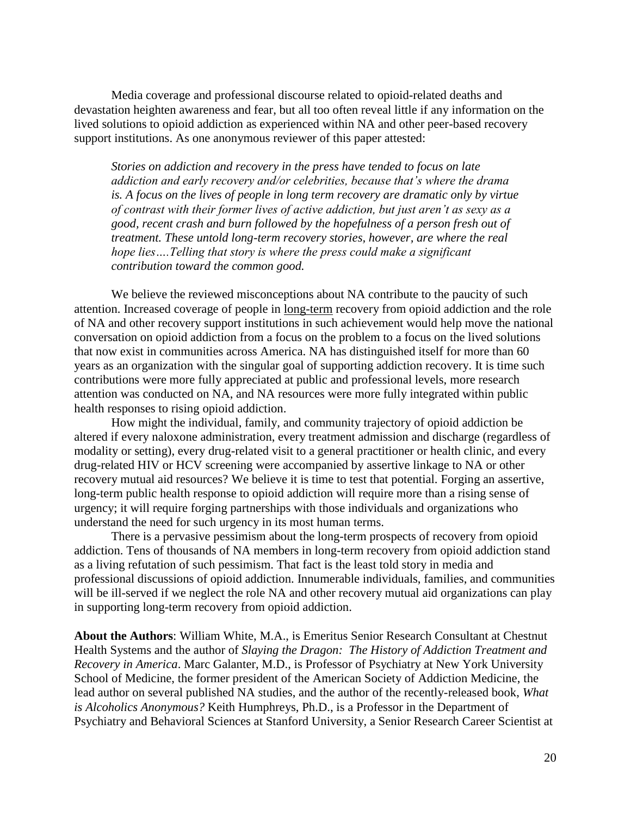Media coverage and professional discourse related to opioid-related deaths and devastation heighten awareness and fear, but all too often reveal little if any information on the lived solutions to opioid addiction as experienced within NA and other peer-based recovery support institutions. As one anonymous reviewer of this paper attested:

*Stories on addiction and recovery in the press have tended to focus on late addiction and early recovery and/or celebrities, because that's where the drama is. A focus on the lives of people in long term recovery are dramatic only by virtue of contrast with their former lives of active addiction, but just aren't as sexy as a good, recent crash and burn followed by the hopefulness of a person fresh out of treatment. These untold long-term recovery stories, however, are where the real hope lies….Telling that story is where the press could make a significant contribution toward the common good.*

We believe the reviewed misconceptions about NA contribute to the paucity of such attention. Increased coverage of people in long-term recovery from opioid addiction and the role of NA and other recovery support institutions in such achievement would help move the national conversation on opioid addiction from a focus on the problem to a focus on the lived solutions that now exist in communities across America. NA has distinguished itself for more than 60 years as an organization with the singular goal of supporting addiction recovery. It is time such contributions were more fully appreciated at public and professional levels, more research attention was conducted on NA, and NA resources were more fully integrated within public health responses to rising opioid addiction.

How might the individual, family, and community trajectory of opioid addiction be altered if every naloxone administration, every treatment admission and discharge (regardless of modality or setting), every drug-related visit to a general practitioner or health clinic, and every drug-related HIV or HCV screening were accompanied by assertive linkage to NA or other recovery mutual aid resources? We believe it is time to test that potential. Forging an assertive, long-term public health response to opioid addiction will require more than a rising sense of urgency; it will require forging partnerships with those individuals and organizations who understand the need for such urgency in its most human terms.

There is a pervasive pessimism about the long-term prospects of recovery from opioid addiction. Tens of thousands of NA members in long-term recovery from opioid addiction stand as a living refutation of such pessimism. That fact is the least told story in media and professional discussions of opioid addiction. Innumerable individuals, families, and communities will be ill-served if we neglect the role NA and other recovery mutual aid organizations can play in supporting long-term recovery from opioid addiction.

**About the Authors**: William White, M.A., is Emeritus Senior Research Consultant at Chestnut Health Systems and the author of *Slaying the Dragon: The History of Addiction Treatment and Recovery in America*. Marc Galanter, M.D., is Professor of Psychiatry at New York University School of Medicine, the former president of the American Society of Addiction Medicine, the lead author on several published NA studies, and the author of the recently-released book, *What is Alcoholics Anonymous?* Keith Humphreys, Ph.D., is a Professor in the Department of Psychiatry and Behavioral Sciences at Stanford University, a Senior Research Career Scientist at